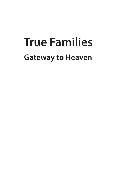# **True Families Gateway to Heaven**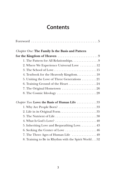# **Contents**

| Foreword $\ldots \ldots \ldots \ldots \ldots \ldots \ldots \ldots \ldots \ldots \ldots 5$ |  |
|-------------------------------------------------------------------------------------------|--|
| <b>Chapter One: The Family Is the Basis and Pattern</b>                                   |  |
|                                                                                           |  |
| 1. The Pattern for All Relationships. 9                                                   |  |
| 2. Where We Experience Universal Love 12                                                  |  |
|                                                                                           |  |
| 4. Textbook for the Heavenly Kingdom. 18                                                  |  |
| 5. Uniting the Love of Three Generations 21                                               |  |
| 6. Training Ground of the Heart 24                                                        |  |
| 7. The Original Hometown 26                                                               |  |
| 8. The Cosmic Ideology 28                                                                 |  |
| Chapter Two: Love: the Basis of Human Life 33                                             |  |
| 1. Why Are People Born? 33                                                                |  |
| 2. Life in its Original Form35                                                            |  |
| 3. The Nutrient of Life 38                                                                |  |
| 4. What Is God's Love? $\dots\dots\dots\dots\dots\dots\dots\dots\dots40$                  |  |
| 5. Inheriting Love and Bequeathing Love. 43                                               |  |
| 6. Seeking the Center of Love 46                                                          |  |
| 7. The Three Ages of Human Life 49                                                        |  |
| 8. Training to Be in Rhythm with the Spirit World. 52                                     |  |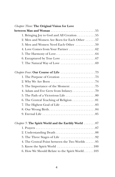| <b>Chapter Three: The Original Vision for Love</b>                              |
|---------------------------------------------------------------------------------|
|                                                                                 |
| 1. Bringing Joy to God and All Creation 55                                      |
| 2. Men and Women Are Born for Each Other 57                                     |
| 3. Men and Women Need Each Other 59                                             |
| 4. Love Comes from Your Partner 62                                              |
|                                                                                 |
| 6. Enraptured by True Love $\dots\dots\dots\dots\dots\dots\dots\dots$           |
| 7. The Natural Way of Love $\dots\dots\dots\dots\dots\dots\dots\dots$           |
|                                                                                 |
|                                                                                 |
|                                                                                 |
| 3. The Importance of the Moment 75                                              |
|                                                                                 |
|                                                                                 |
| 6. The Central Teaching of Religion 81                                          |
|                                                                                 |
|                                                                                 |
|                                                                                 |
| Chapter 5: The Spirit World and the Earthly World 87                            |
|                                                                                 |
|                                                                                 |
|                                                                                 |
| 4. The Central Point between the Two Worlds 95                                  |
| 5. Know the Spirit World $\ldots \ldots \ldots \ldots \ldots \ldots \ldots 100$ |
| 6. How We Should Relate to the Spirit World103                                  |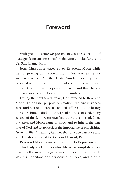# **Foreword**

With great pleasure we present to you this selection of passages from various speeches delivered by the Reverend Dr. Sun Myung Moon.

Jesus Christ first appeared to Reverend Moon while he was praying on a Korean mountainside when he was sixteen years old. On that Easter Sunday morning, Jesus revealed to him that the time had come to consummate the work of establishing peace on earth, and that the key to peace was to build God-centered families.

During the next several years, God revealed to Reverend Moon His original purpose of creation, the circumstances surrounding the human Fall, and His efforts through history to restore humankind to the original purpose of God. Many secrets of the Bible were revealed during this period. Notably, Reverend Moon came to know and to inherit the true love of God and to appreciate the importance of establishing "true families," meaning families that practice true love and are directly connected to God, our Heavenly Parent.

Reverend Moon promised to fulfill God's purpose and has tirelessly worked his entire life to accomplish it. For teaching this new message he was imprisoned six times. He was misunderstood and persecuted in Korea, and later in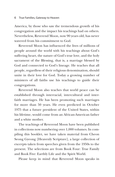America, by those who saw the tremendous growth of his congregation and the impact his teachings had on others. Nevertheless, Reverend Moon, now 90 years old, has never wavered from his commitment to God.

Reverend Moon has influenced the lives of millions of people around the world with his teachings about God's suffering heart, the nature of God's true love, and the holy sacrament of the Blessing, that is, a marriage blessed by God and connected to God's lineage. He teaches that all people, regardless of their religious denomination, should unite in their love for God. Today a growing number of ministers of all faiths use his teachings to guide their congregations.

Reverend Moon also teaches that world peace can be established through interracial, intercultural and interfaith marriages. He has been promoting such marriages for more than 50 years. He even predicted in October 1975 that a future president of the United States, within his lifetime, would come from an African-American father and a white mother.

The teachings of Reverend Moon have been published in collections now numbering over 1,000 volumes. In compiling this booklet, we have taken material from Cheon Seong Gyeong [Heavenly Scripture], a large collection of excerpts taken from speeches given from the 1950s to the present. The selections are from Book Four: True Family and Book Five: Earthly Life and the Spirit World.

Please keep in mind that Reverend Moon speaks in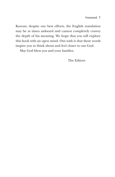Korean; despite our best efforts, the English translation may be at times awkward and cannot completely convey the depth of his meaning. We hope that you will explore this book with an open mind. Our wish is that these words inspire you to think about and feel closer to our God.

May God bless you and your families.

The Editors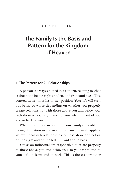# **The Family Is the Basis and Pattern for the Kingdom of Heaven**

## **1. The Pattern for All Relationships**

A person is always situated in a context, relating to what is above and below, right and left, and front and back. This context determines his or her position. Your life will turn out better or worse depending on whether you properly create relationships with those above you and below you, with those to your right and to your left, in front of you and in back of you.

Whether it concerns issues in your family or problems facing the nation or the world, the same formula applies: we must deal with relationships to those above and below, on the right and on the left, in front and in back.

You as an individual are responsible to relate properly to those above you and below you, to your right and to your left, in front and in back. This is the case whether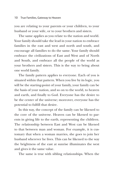you are relating to your parents or your children, to your husband or your wife, or to your brothers and sisters.

The same applies as you relate to the nation and world. Your family should take the lead in your nation to embrace families in the east and west and north and south, and encourage all families to do the same. Your family should embrace the civilizations of East and West and of North and South, and embrace all the people of the world as your brothers and sisters. This is the way to bring about one world family.

The family pattern applies to everyone. Each of you is situated within that pattern. When you live by its logic, you will be the starting-point of your family, your family can be the basis of your nation, and so on to the world, to heaven and earth, and finally to God. Everyone has the desire to be the center of the universe; moreover, everyone has the potential to fulfill that desire.

In this way, the concept of the family can be likened to the core of the universe. Heaven can be likened to parents in giving life to the earth, representing the children. The relationship between East and West can be likened to that between man and woman. For example, it is customary that when a woman marries, she goes to join her husband wherever he lives. This can be likened to the way the brightness of the east at sunrise illuminates the west and gives it the same value.

The same is true with sibling relationships. When the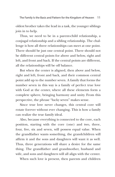oldest brother takes the lead in a task, the younger siblings join in to help.

Thus, we need to be in a parent-child relationship, a conjugal relationship and a sibling relationship. The challenge is how all three relationships can meet at one point. There should be just one central point. There should not be different central points for above and below, right and left, and front and back. If the central points are different, all the relationships will be off balance.

But when the center is aligned, then above and below, right and left, front and back, and their common central point add up to the number seven. A family that forms the number seven in this way is a family of perfect true love with God at the center, where all these elements form a complete sphere, bringing harmony and unity. From this perspective, the phrase "lucky seven" makes sense.

Since true love never changes, this central core will rotate forever without ever changing. This is how a family can realize the true family ideal.

Also, because everything is connected to the core, each position, starting with the core (one) and two, three, four, five, six and seven, will possess equal value. When the grandfather wants something, the grandchildren will affirm it and the sons and daughters will want it as well. Thus, three generations will share a desire for the same thing. The grandfather and grandmother, husband and wife, and sons and daughters will all align with the center.

When such love is present, then parents and children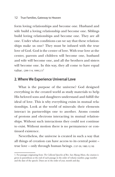form loving relationships and become one. Husband and wife build a loving relationship and become one. Siblings build loving relationships and become one. They are all one. Under what conditions can we say that these relationships make us one? They must be infused with the true love of God. God is the center of love. With true love at the center, parents and children will become one, husband and wife will become one, and all the brothers and sisters will become one. In this way, they all come to have equal value.  $(299-114, 1999.2.7)^1$ 

## **2. Where We Experience Universal Love**

What is the purpose of the universe? God designed everything in the created world as study materials to help His beloved sons and daughters understand and fulfill the ideal of love. This is why everything exists in mutual relationships. Look at the world of minerals: their elements interact in partnerships one to another. Atoms consist of protons and electrons interacting in mutual relationships. Without such interactions they could not continue to exist. Without motion there is no permanence or continued existence.

Nevertheless, the universe is created in such a way that all things of creation can have access to its central point – true love – only through human beings. (137-59, 1985.12.18)

<sup>1.</sup> For passages originating from *The Collected Speeches of Rev. Sun Myung Moon*, the citation is given in parentheses at the end of each passage in the order of volume number, page number and the date of the speech. Dates are in the order of year, month and day.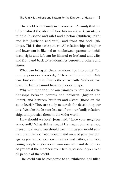The world is the family in macrocosm. A family that has fully realized the ideal of love has an above (parents), a middle (husband and wife) and a below (children), right and left (husband and wife), and front and back (siblings). This is the basic pattern. All relationships of higher and lower can be likened to that between parents and children; right and left can be likened to husband and wife; and front and back to relationships between brothers and sisters.

What can bring all these relationships into unity? Can money, power or knowledge? These will never do it. Only true love can do it. This is the clear truth. Without true love, the family cannot have a spherical shape.

Why is it important for our families to have good relationships between parents and children (higher and lower), and between brothers and sisters (those on the same level)? They are study materials for developing our love. We take the lessons learned from our family relationships and practice them in the wider world.

How should we love? Jesus said, "Love your neighbor as yourself." What did he mean? He meant that when you meet an old man, you should treat him as you would your own grandfather. Treat women and men of your parents' age as you would your own mother and father, and treat young people as you would your own sons and daughters. As you treat the members your family, so should you treat all people of the world.

The world can be compared to an exhibition hall filled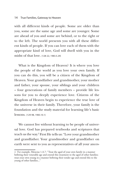#### 14 True Families, Gateway to Heaven

with all different kinds of people. Some are older than you, some are the same age and some are younger. Some are ahead of you and some are behind, or to the right or to the left. The world presents you with all these different kinds of people. If you can love each of them with the appropriate kind of love, God will dwell with you in the midst of that love. (128-22, 1983.5.29)

What is the Kingdom of Heaven? It is where you love the people of the world as you love your own family. If you can do this, you will be a citizen of the Kingdom of Heaven. Your grandfather and grandmother, your mother and father, your spouse, your siblings and your children – four generations of family members – provide life lessons for you to deeply experience love. Citizens of the Kingdom of Heaven begin to experience the true love of the universe in their family. Therefore, your family is the foundation and the study material for learning life's basic lessons. (129-98, 1983.10.1)

We cannot live without learning to be people of universal love. God has prepared textbooks and scriptures that teach us the way. 2 First He tells us: "Love your grandmother and grandfather. Your grandmother and grandfather on earth were sent to you as representatives of all your ances-

<sup>2.</sup> For example, Mencius 1.A.7: "Treat the aged of your own family in a manner befitting their venerable age and extend this treatment to the aged of other families; treat your own young in a manner befitting their tender age and extend this to the young of other families..."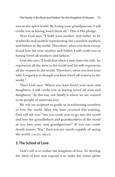tors in the spirit world. By loving your grandparents, I will credit you as having loved them all." This is His pledge.

Next God says, "I hold your mother and father to be textbooks and models representing the countless mothers and fathers in the world. Therefore, when you show exceptional love for your mother and father, I will credit you as having loved all mothers and fathers."

God also says, "I hold that when a man loves his wife, he represents all the men in the world and his wife represents all the women in the world. Therefore, when you love your wife, I regard it as though you have loved all women in the world."

Then God says: "When you have loved your sons and daughters, I will credit you as having loved all sons and daughters." In this way, our family is where we are trained to be people of universal love.

We rely on scripture to guide us in cultivating ourselves to love the world. After you have received this training, God will ask you: "Are you ready now to go into the world and love the grandfathers and grandmothers of the world as you love your own grandparents?" If you can confidently answer "Yes," then you are surely capable of saving the world. (130-273, 1984.2.5)

## **3. The School of Love**

God's will is to realize the kingdom of love. To develop the ideal of love and expand it to make the entire globe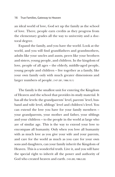an ideal world of love, God set up the family as the school of love. There, people earn credits as they progress from the elementary grades all the way to university and a doctoral degree.

Expand the family, and you have the world. Look at the world, and you will find grandfathers and grandmothers, adults like your uncles and aunts, peers like your brothers and sisters, young people, and children. In the kingdom of love, people of all ages – the elderly, middle-aged people, young people and children – live together as a family, like your own family only with much greater dimensions and larger numbers of people. (147-281, 1986.10.1)

The family is the smallest unit for entering the Kingdom of Heaven and the school that provides its study material. It has all the levels: the grandparents' level, parents' level, husband and wife level, siblings' level and children's level. You can extend the love you have for your family members – your grandparents, your mother and father, your siblings and your children – to the people in the world at large who are of similar age. This is the way to extend your love to encompass all humanity. Only when you love all humanity with as much love as you give your wife and your parents, and care for the world as much as you care for your own sons and daughters, can your family inherit the Kingdom of Heaven. This is a wonderful truth. Live it, and you will have the special right to inherit all the power and authority of God who created heaven and earth. (143-285, 1986.3.20)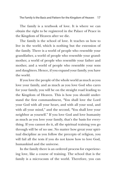The family is a textbook of love. It is where we can obtain the right to be registered in the Palace of Peace in the Kingdom of Heaven after we die.

The family is the school of love. It teaches us how to live in the world, which is nothing but the extension of the family. There is a world of people who resemble your grandfather, a world of people who resemble your grandmother, a world of people who resemble your father and mother, and a world of people who resemble your sons and daughters. Hence, if you expand your family, you have the world.

If you love the people of the whole world as much as you love your family, and as much as you love God who cares for your family, you will be on the straight road leading to the Kingdom of Heaven. This is how you should understand the first commandment, "You shall love the Lord your God with all your heart, and with all your soul, and with all your mind," and the second, "You shall love your neighbor as yourself." If you love God and love humanity as much as you love your family, that's the basis for everything. If you cannot do it, all the spiritual training you go through will be of no use. No matter how great your spiritual discipline as you follow the precepts of religion, you will fail all the tests if you do not know how to love God, humankind and the universe.

In the family there is an ordered process for experiencing love, like a course of training. The school that is the family is a microcosm of the world. Therefore, you can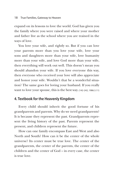expand on its lessons to love the world. God has given you the family where you were raised and where your mother and father live as the school where you are trained in the ways of love.

You love your wife, and rightly so. But if you can love your parents more than you love your wife, love your sons and daughters more than your wife, love humanity more than your wife, and love God more than your wife, then everything will work out well. This doesn't mean you should abandon your wife. If you love everyone this way, then everyone who received your love will also appreciate and honor your wife. Wouldn't that be a wonderful situation? The same goes for loving your husband. If you really want to love your spouse, this is the best way. (142-242, 1986.3.11)

## **4. Textbook for the Heavenly Kingdom**

Every child should inherit the good fortune of his grandparents and parents. Why do we need grandparents? It is because they represent the past. Grandparents represent the living history of the past. Parents represent the present, and children represent the future.

How can one family encompass East and West and also North and South? How can it be the center of the whole universe? Its center must be true love. The center of the grandparents, the center of the parents, the center of the children and the center of God – in every case, the center is true love.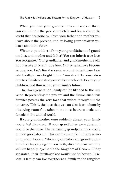When you love your grandparents and respect them, you can inherit the past completely and learn about the world that has gone by. From your father and mother you learn about the present, and by loving your children you learn about the future.

What can you inherit from your grandfather and grandmother, and mother and father? You can inherit true love. You recognize, "Our grandfather and grandmother are old, but they are as one in true love. Our parents have become as one, too. Let's live the same way and inherit true love, which will give us a bright future." You should become absolute true families so that you can bequeath such love to your children, and thus secure your family's future.

The three-generation family can be likened to the universe. Representing the present and the future, such true families possess the very love that pulses throughout the universe. This is the love that we can also learn about by observing nature's textbook: the love between male and female in the animal world.

If your grandmother were suddenly absent, your family would feel distressed. If your grandfather were absent, it would be the same. The remaining grandparent just could not feel good about it. This earthly example indicates something about heaven. When a grandfather and grandmother have lived happily together on earth, after they pass over they will live happily together in the Kingdom of Heaven. If they separated, their dwelling-place would not be heaven. Likewise, a family can live together as a family in the Kingdom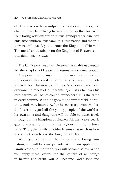of Heaven when the grandparents, mother and father, and children have been living harmoniously together on earth. Your loving relationships with true grandparents, true parents, true children, true families, a true nation and the true universe will qualify you to enter the Kingdom of Heaven. The model and textbook for the Kingdom of Heaven is the true family. (162-140, 1987.4.5)

The family provides us with lessons that enable us to establish the Kingdom of Heaven. Its lessons were created by God.

Any person living anywhere in the world can enter the Kingdom of Heaven if he loves every old man he meets just as he loves his own grandfather. A person who can love everyone he meets of his parents' age just as he loves his own parents will be welcomed everywhere. It is the same in every country. When he goes to the spirit world, he will transcend every boundary. Furthermore, a person who has the heart to regard all the young people of the world as his own sons and daughters will be able to travel freely throughout the Kingdom of Heaven. All the twelve pearly gates are open to him, and the regions in all four directions. Thus, the family provides lessons that teach us how to connect ourselves to the Kingdom of Heaven.

When you apply these family lessons to loving your nation, you will become patriots. When you apply these family lessons to the world, you will become saints. When you apply these lessons for the welfare of all beings in heaven and earth, you will become God's sons and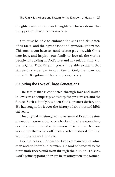The Family Is the Basis and Pattern for the Kingdom of Heaven 21

daughters – divine sons and daughters. This is a desire that every person shares. (137-78, 1985.12.18)

You must be able to embrace the sons and daughters of all races, and their grandsons and granddaughters too. This means you have to stand as true parents, with God's true love, and inspire your family to love all the world's people. By abiding in God's love and in a relationship with the original True Parents, you will be able to attain that standard of true love in your family. Only then can you enter the Kingdom of Heaven. (176-210, 1988.5.9)

## **5. Uniting the Love of Three Generations**

The family that is connected through love and united in love can encompass past history, the present era and the future. Such a family has been God's greatest desire, and He has sought for it over the history of six thousand biblical years.

The original mission given to Adam and Eve at the time of creation was to establish such a family, where everything would come under the dominion of true love. No one would cut themselves off from a relationship if the love were inherent and absolute.

God did not want Adam and Eve to remain an individual man and an individual woman. He looked forward to the new family they would form through their union. This was God's primary point of origin in creating men and women.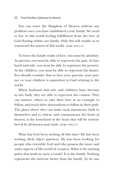#### 22 True Families, Gateway to Heaven

You can enter the Kingdom of Heaven without any problem once you have established a true family. We need to live in this world feeling fulfillment from the love of God flowing within our family. Only this will enable us to transcend the snares of this world. (30-86, 1970.3.17)

To form the family realm of love, you must be absolute. As parents, you must be able to represent the past. As husband and wife, you must be able to represent the present. As the children, you must be able to represent the future. You should consider that to love your parents, your partner or your children is equivalent to God relating to the world.

When husband and wife and children have become as one body, they are able to represent the cosmos. They can instruct others to take their love as an example to follow, and teach their descendents to follow in their path. The place where they can make such statements, both to themselves and to others, and communicate the heart of heaven, is the homeland of the heart that will be remembered by all heaven and earth. (30-80, 1970.3.17)

What has God been seeking all this time? He has been seeking ideal object partners. He has been looking for people who resemble God and who possess the inner and outer aspects of His world of creation. What is the starting point that leads to such a result? It is the family. Nothing represents the universe better than the family. To be one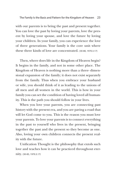with our parents is to bring the past and present together. You can love the past by loving your parents, love the present by loving your spouse, and love the future by loving your children. In your family, you can experience the love of three generations. Your family is the core unit where these three kinds of love are concentrated. (30-80, 1970.3.17)

Then, where does life in the Kingdom of Heaven begin? It begins in the family, and not in some other place. The Kingdom of Heaven is nothing more than a three- dimensional expansion of the family; it does not exist separately from the family. Thus when you embrace your husband or wife, you should think of it as leading to the unions of all men and all women in the world. This is how in your family you can set the condition of having loved all humanity. This is the path you should follow in your lives.

When you love your parents, you are connecting past history with the present era, and you are paving a road that will let God come to you. This is the reason you must love your parents. To love your parents is to connect everything in the past to yourself who lives in the present, bringing together the past and the present so they become as one. Also, loving your own children connects the present reality with the future.

Unification Thought is the philosophy that extols such love and teaches how it can be practiced throughout eternity. (30-83, 1970.3.17)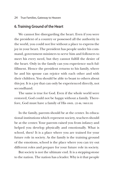## **6. Training Ground of the Heart**

We cannot live disregarding the heart. Even if you were the president of a country or possessed all the authority in the world, you could not live without a place to express the joy in your heart. The president has people under his command, government ministers to serve him and followers to meet his every need, but they cannot fulfill the desire of the heart. Only in the family can you experience such fulfillment. Hence the president returns to his family, where he and his spouse can rejoice with each other and with their children. You should be able to boast to others about this joy. It is a joy that can only be experienced directly, not secondhand.

The same is true for God. Even if the whole world were restored, God could not be happy without a family. Therefore, God must have a family of His own. (25-86, 1969.9.30)

In the family, parents should be at the center. In educational institutions which represent society, teachers should be at the center. Your parents raised you from infancy and helped you develop physically and emotionally. What is school, then? It is a place where you are trained for your future role in society. As the family is the training ground of the emotions, school is the place where you can try out different roles and prepare for your future role in society.

But society is not the ultimate end. It is a stepping-stone to the nation. The nation has a leader. Why is it that people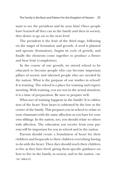want to see the president and be near him? Once people have learned all they can in the family and then in society, they desire to go on to the next level.

The president is the fruit of the third stage, following on the stages of formation and growth. A seed is planted and sprouts (formation), begins its cycle of growth, and finally the elements come together to produce a flower and bear fruit (completion).

In the course of our growth, we attend school to be educated to become people who can become important pillars of society and talented people who are needed by the nation. What is the purpose of our studies in school? It is training. The school is a place for training and experimenting. With training, you are not in the actual situation; it is a time of preparation. Be sure to prepare well.

What sort of training happens in the family? It is cultivation of the heart. Your heart is cultivated by the love at the center of the family. This prepares you in school to relate to your classmates with the same affection as you have for your own siblings. In the nation, too, you should relate to others with affection. The education you receive from your parents will be important for you in school and in the nation.

Parents should create a foundation of heart for their children and bequeath to their children everything having to do with the heart. Then they should teach their children to live as they have lived, giving them specific guidance on how to live in the family, in society, and in the nation. (180- 130, 1988.8.22)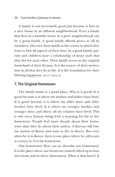#### 26 True Families, Gateway to Heaven

A family is not necessarily good just because it lives in a nice house in an affluent neighborhood. Even a family that lives in a humble house in a poor neighborhood can be a good family. A good family affords peace to all its members, who view their family as the center to which they want to link all aspects of their lives. In a good family, parents and children have a relationship of heart such that they live for each other. Their family serves as the original homeland of their dreams. It is the source of their motivation in all that they do in life. It is the foundation for their lifelong happiness. (29-17, 1970.2.15)

## **7. The Original Hometown**

The family home is a good place. Why is it good? It is good because it is where my mother and father have lived. It is good because it is where my elder sister and elder brother have lived. It is where my younger brother and younger sister and where all my relatives have lived. This is why every human being feels a yearning for his or her hometown. People feel more deeply about their hometown than they do about their nation. A Korean will love the nation of Korea and want to live in Korea. But even when he is in Korea, there is one place where he will yearn to return to. It is his hometown.

Our hometown! How can we describe our hometown? It is the place where our hearts are entirely lifted up in four directions and in three dimensions. What is that heart? It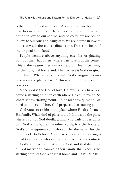is the ties that bind us in love. Above us, we are bound in love to our mother and father; as right and left, we are bound in love to our spouse; and below us, we are bound in love to our sons and daughters. We are bound in love to our relatives in these three dimensions. This is the heart of the original homeland.

People treasure above anything else this originating point of their happiness, where true love is at the center. This is the reason they cannot help but feel a yearning for their original homeland. Then, where is God's original homeland? Where do you think God's original homeland is on the planet Earth? This is a question we need to consider.

Since God is the God of love, He must surely have prepared a starting point on earth where He could reside. So where is this starting point? To answer this question, we need to understand how God prepared that starting point.

God wants to reside in the place where He first formed His family. What kind of place is that? It must be the place where a son of God dwells, a man who truly understands that God is his Father. In other words, it is the home of God's only-begotten son, who can be the vessel for the entirety of God's love. Also, it is a place where a daughter of God dwells, who can be the vessel for the entirety of God's love. Where that son of God and that daughter of God marry and complete their family, that place is the starting-point of God's original homeland. (23-151, 1969.5.18)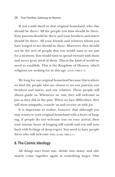#### 28 True Families, Gateway to Heaven

If you could dwell in that original homeland, who else should be there? All the people you miss should be there. Your parents should be there and your brothers and sisters should be there. All your friends and relatives whom you have longed to see should be there. Moreover, they should not be the sort of people that you would want to see just for a moment. You would want to spend eternity with them and never grow tired of them. This is the kind of world we need to establish. This is the Kingdom of Heaven, which religions are seeking for in this age. (23-81, 1969.5.11)

We long for our original homeland because this is where we find the people who are closest to us: our parents, our brothers and sisters, and our relatives. These people will always guide us. Whenever we visit, they will welcome us just as they did in the past. When we face difficulties, they will show sympathy, console us and receive us with joy.

It is important to realize, however, that although you may return to your original homeland with a heart of longing, if people do not welcome you on your arrival, then your intense heart of longing will vanish and you will turn back with feelings of deep regret. You need to have people there who will welcome you. (23-80, 1969.5.11)

## **8. The Cosmic Ideology**

All things start from one, divide into many, and ultimately come together again as something larger. One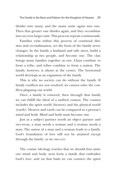divides into many, and the many unite again into one. Then that greater one divides again, and they recombine into an even larger unit. This process repeats continuously.

Families exist within this process of continual division and recombination, yet the form of the family never changes. In the family a husband and wife meet, build a relationship as two people, and become one. The clan brings many families together as one. Clans combine to form a tribe, and tribes combine to form a nation. The family, however, is always at the center. The horizontal world develops as an expansion of the family.

This is why no society can do without the family. If family conflicts are not resolved, we cannot solve the conflicts plaguing our world.

Once a family is restored, then through that family we can fulfill the ideal of a unified cosmos. The cosmos includes the spirit world (heaven) and the physical world (earth). Heaven and earth can be compared to a person's mind and body. Mind and body must become one.

Just as a subject partner needs an object partner and vice-versa, a man needs a woman and a woman needs a man. The union of a man and a woman leads to a family. God's foundation of love will not be attained except through the family. (26-189, 1969.10.25)

The cosmic ideology teaches that we should first unite our mind and body, next form a family that embodies God's love, and on that basis we can connect the spirit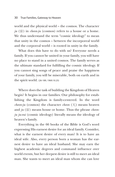world and the physical world – the cosmos. The character  $ju$  ( $\oplus$ ) in *cheon-ju* (cosmos) refers to a house or a home. We thus understand the term "cosmic ideology" to mean that unity in the cosmos – between the incorporeal world and the corporeal world – is rooted in unity in the family.

What does this have to do with us? Everyone needs a family. If you cannot be united in your family, you will have no place to stand in a united cosmos. The family serves as the ultimate standard for fulfilling the cosmic ideology. If you cannot sing songs of peace and praise the happiness of your family, you will be miserable, both on earth and in the spirit world. (26-189, 1969.10.25)

Where does the task of building the Kingdom of Heaven begin? It begins in our families. Our philosophy for establishing the Kingdom is family-centered. In the word *cheon-ju* (cosmos) the character *cheon* (天) means heaven and *ju* (宙) means house or home. Thus the phrase *cheonju ju-eui* (cosmic ideology) literally means the ideology of heaven's family.

Everything in the 66 books of the Bible is God's word expressing His earnest desire for an ideal family. Consider, what is the earnest desire of every man? It is to have an ideal wife. Also, every person born a woman has the earnest desire to have an ideal husband. She may earn the highest academic degrees and command influence over world events, but her deepest desire is still to meet an ideal man. She wants to meet an ideal man whom she can love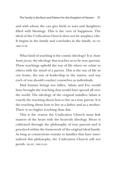and with whom she can give birth to sons and daughters filled with blessings. This is the root of happiness. The ideal of the Unification Church does not lie anyplace else. It begins in the family and concludes in the family. (26-103, 1969.10.18)

What kind of teaching is the cosmic ideology? It is *chambumo ju-eui*, the ideology that teaches us to be true parents. These teachings uphold the way of life where we relate to others with the mind of a parent. This is the way of life in our home, the way of leadership in the nation, and way each of you should conduct yourselves as individuals.

Had human beings not fallen, Adam and Eve would have brought the teaching that would have spread all over the world. The ideology of the original unfallen Adam is exactly the teaching about how to live as a true parent. It is the teaching about how to live as a father and as a mother. There is no higher teaching than this.

This is the reason the Unification Church must link matters of the heart with the heavenly ideology. Heart is cultivated through the philosophy of true parents and is practiced within the framework of the original ideal family. As long as connections remain to families that have internalized this philosophy, the Unification Church will not perish. (26-201, 1969.10.25)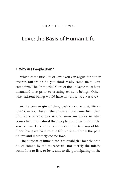## C H A P T E R T W O

## **Love: the Basis of Human Life**

### **1. Why Are People Born?**

Which came first, life or love? You can argue for either answer. But which do you think really came first? Love came first. The Primordial Core of the universe must have emanated love prior to creating existent beings. Otherwise, existent beings would have no value. (143-277, 1986.3.20)

At the very origin of things, which came first, life or love? Can you discern the answer? Love came first, then life. Since what comes second must surrender to what comes first, it is natural that people give their lives for the sake of love. This helps us understand the true way of life. Since love gave birth to our life, we should walk the path of love and ultimately die for love.

The purpose of human life is to establish a love that can be welcomed by the macrocosm, not merely the microcosm. It is to live, to love, and to die participating in the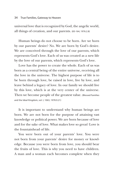universal love that is recognized by God, the angelic world, all things of creation, and our parents. (83-164, 1976.2.8)

Human beings do not choose to be born. Are we born by our parents' desire? No. We are born by God's desire. We are conceived through the love of our parents, which represents God's love. Each of us was created as a new life by the love of our parents, which represents God's love.

Love has the power to create the whole. Each of us was born as a central being of the entire universe, receiving all the love in the universe. The highest purpose of life is to be born through love, be raised in love, live by love, and leave behind a legacy of love. In our family we should live by this love, which is at the very center of the universe. Then we become people of the greatest value. (Blessed Families and the Ideal Kingdom, vol. I, 1063, 1978.9.21)

It is important to understand why human beings are born. We are not born for the purpose of attaining vast knowledge or political power. We are born because of love and for the sake of love. What makes love so great? Love is the fountainhead of life.

You were born out of your parents' love. You were not born from your parents' desire for money or knowledge. Because you were born from love, you should bear the fruits of love. This is why you need to have children. A man and a woman each becomes complete when they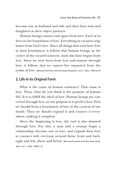become one as husband and wife and then have sons and daughters as their object partners.

Human beings cannot exist apart from love. Each of us lives on the foundation of love. Everything in creation originates from God's love. Since all things that exist have love as their foundation, it follows that human beings, as the center of the created universe, must also have begun from love. Since we were born from love and mature through love, it follows that we cannot live separated from the realm of love. (Blessed Families and the Ideal Kingdom, vol. I, 1062, 1988.8.20)

## **2. Life in its Original Form**

What is the cause of human existence? That cause is love. Then, what do you think is the purpose of human life? It is to fulfill the ideal of love. Human beings are conceived through love, so our purpose is to perfect love. First we should form a foundation of love in the context of our family. Then we should expand it and connect it everywhere, making it complete.

Since the beginning is love, the end is also attained through love. For this, a man and a woman begin a relationship, become one in love, and expand their love to connect with everyone around them: front and back, right and left, above and below. (Blessed Families and the Ideal Kingdom, vol. I, 1064, 1986.1.3)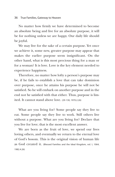No matter how firmly we have determined to become an absolute being and live for an absolute purpose, it will be for nothing unless we are happy. Our daily life should be joyful.

We may live for the sake of a certain purpose. Yet once we achieve it, some new, greater purpose may appear that makes the earlier purpose seem insignificant. On the other hand, what is this most precious thing for a man or for a woman? It is love. Love is the key element needed to experience happiness.

Therefore, no matter how lofty a person's purpose may be, if he fails to establish a love that can take dominion over purpose, once he attains his purpose he will not be satisfied. So he will embark on another purpose and in the end not be satisfied with that either. Thus, purpose is limited. It cannot stand above love. (29-130, 1970.2.26)

What are you living for? Some people say they live to eat. Some people say they live to work. Still others live without a purpose. What are you living for? Declare that you live for love; that is the most excellent answer.

We are born as the fruit of love, we spend our lives loving others, and eventually we return to the eternal love of God's bosom. This is the original vision of human life as God created it. (Blessed Families and the Ideal Kingdom, vol. I, 1064, 1982.4.26)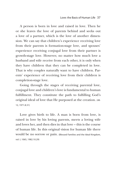A person is born in love and raised in love. Then he or she leaves the love of parents behind and seeks out a love of a partner, which is the love of another dimension. We can say that children's experience receiving love from their parents is formation-stage love, and spouses' experience receiving conjugal love from their partner is growth-stage love. However, no matter how much love a husband and wife receive from each other, it is only when they have children that they can be completed in love. That is why couples naturally want to have children. Parents' experience of receiving love from their children is completion-stage love.

Going through the stages of receiving parental love, conjugal love and children's love is fundamental to human fulfillment. They constitute the path to fulfilling God's original ideal of love that He purposed at the creation. (48- 12, 1971.8.31)

Love gives birth to life. A man is born from love, is raised in love by his loving parents, meets a loving wife and loves her, and then dies in that love – this is the course of human life. In this original vision for human life there would be no sorrow or pain. (Blessed Families and the Ideal Kingdom, vol. I, 1065, 1982.10.29)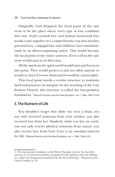#### 38 True Families, Gateway to Heaven

Originally, God designed the focal point of the universe to be the place where every type of love combines into one. God's vertical love and human horizontal love would come together in a comprehensive way that involves parental love, conjugal love and children's love simultaneously in an all-encompassing union. This would become the focal point of the entire universe. Every cell in the universe would turn in its direction.

All the spirits in the spirit world would turn and focus on this point. They would protect it and not allow anyone to invade it, since if it were destroyed it would be catastrophic.

This focal point needs a certain structure to maintain itself and preserve its integrity. In the teaching of the Unification Church, this structure is called the four-position  $\operatorname{foundation.}^{3}$  (Blessed Families and the Ideal Kingdom, vol. I, 1066, 1982.10.29)

## **3. The Nutrient of Life**

You shouldn't forget that while you were a fetus, you not only received nutrients from your mother, you also received love from her. Similarly, while you live on earth, you not only receive physical nutrients from nature, you also receive love from God. Love is an essential nutrient for life. (Blessed Families and the Ideal Kingdom, vol. I, 1066, 1984.4.24)

<sup>3.</sup> The four-position foundation is the Divine Principle's term for the four-fold structure of a God-centered family, composed of God, husband, wife and children. It is called "the fundamental foundation for the life of all beings." (*Exposition of the Divine Principle,* p. 25)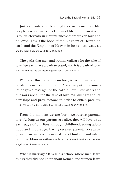Just as plants absorb sunlight as an element of life, people take in love is an element of life. Our dearest wish is to live eternally in circumstances where we can love and be loved. This is the hope of the Kingdom of Heaven on earth and the Kingdom of Heaven in heaven. (Blessed Families and the Ideal Kingdom, vol. I, 1066, 1986.3.20)

The paths that men and women walk are for the sake of love. We each have a path to travel, and it is a path of love. (Blessed Families and the Ideal Kingdom, vol. I, 1066, 1984.4.24)

We travel this life to obtain love, to keep love, and to create an environment of love. A woman puts on cosmetics or gets a massage for the sake of love. Our wants and our work are all for the sake of love. We willingly endure hardships and press forward in order to obtain precious  $\text{love.}$  (Blessed Families and the Ideal Kingdom, vol. I, 1066, 1982.4.26)

From the moment we are born, we receive parental love. As long as our parents are alive, they will love us at each stage of our lives, through childhood, young adulthood and middle age. Having received parental love as we grow up, in time the horizontal love of husband and wife is bound to blossom within each of us. (Blessed Families and the Ideal Kingdom, vol. I, 1067, 1973.4.16)

What is marriage? It is like a school where men learn things they did not know about women and women learn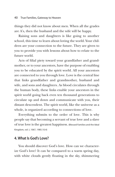things they did not know about men. When all the grades are A's, then the husband and the wife will be happy.

Raising sons and daughters is like going to another school, this time to learn about loving the world. Your children are your connection to the future. They are given to you to provide you with lessons about how to relate to the future world.

Acts of filial piety toward your grandfather and grandmother, or to your ancestors, have the purpose of enabling you to be educated by the spirit world. All your ancestors are connected to you through love. Love is the central line that links grandfather and grandmother, husband and wife, and sons and daughters. As blood circulates through the human body, these links enable your ancestors in the spirit world going back even ten thousand generations to circulate up and down and communicate with you, their distant descendent. The spirit world, like the universe as a whole, is organized according to connections of love.

Everything submits to the order of love. This is why people say that becoming a servant of true love and a slave of true love is the greatest happiness. (Blessed Families and the Ideal Kingdom, vol. I, 1067, 1985.10.4)

#### **4. What Is God's Love?**

You should discover God's love. How can we characterize God's love? It can be compared to a warm spring day, with white clouds gently floating in the sky, shimmering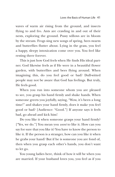waves of warm air rising from the ground, and insects flying to and fro. Ants are crawling in and out of their nests, exploring the ground. Pussy willows are in bloom by the stream. Frogs sing new songs of spring, bees swarm and butterflies flutter about. Lying in the grass, you feel a happy, sleepy intoxication come over you. You feel like resting there forever.

This is just how God feels when He finds His ideal partner. God likewise feels as if He were in a beautiful flower garden, with butterflies and bees flying around. When imagining this, do you feel good or bad? Dull-witted people may not be aware that God has feelings. But truly, He feels good.

When you run into someone whom you are pleased to see, you grasp his hand firmly and shake hands. When someone greets you joyfully, saying, "Wow, it's been a long time!" and shakes your hand firmly, does it make you feel good or bad? [Audience: "Good."] If anyone says it feels bad, go ahead and kick him!

Do you like it when someone grasps your hand firmly? ["Yes, we do."] You mean you *want* to like it. How can you say for sure that you like it? You have to know the person to like it. If the person is a stranger, how can you like it when he grabs your hand? But if he is someone you are fond of, then when you grasp each other's hands, you don't want to let go.

You young ladies here, think of how it will be when you are married. If your husband loves you, you feel as if you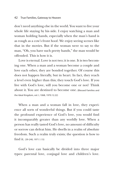don't need anything else in the world. You want to live your whole life staying by his side. I enjoy watching a man and woman holding hands, especially when the man's hand is as rough as a cow's front hoof. We enjoy seeing scenes like that in the movies. But if the woman were to say to the man, "Oh, you have such pretty hands," the man would be offended. This is how it is.

Love is eternal. Love is not two; it is one. It is two becoming one. When a man and a woman become a couple and love each other, they are bonded together. Of course this does not happen literally, but in heart. In fact, they reach a level even higher than this; they touch God's love. If you live with God's love, will you become one or not? Think about it. You are destined to become one. (Blessed Families and the Ideal Kingdom, vol. I, 1068, 1970.12.22)

When a man and a woman fall in love, they experience all sorts of wonderful things. But if you could taste the profound experience of God's love, you would find it incomparably greater than any worldly love. When a person has really tasted God's love, no amount of difficulty or sorrow can defeat him. He dwells in a realm of absolute freedom. Such a realm truly exists; the question is how to find it. (39-240, 1971.1.15)

God's love can basically be divided into three major types: parental love, conjugal love and children's love.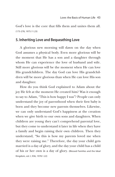God's love is the core that fills them and unites them all. (173-278, 1975.11.23)

### **5. Inheriting Love and Bequeathing Love**

A glorious new morning will dawn on the day when God assumes a physical body. Even more glorious will be the moment that He has a son and a daughter through whom He can experience the love of husband and wife. Still more glorious will be the moment when He can love His grandchildren. The day God can love His grandchildren will be more glorious than when He can love His son and daughter.

How do you think God explained to Adam about the joy He felt at the moment He created him? Was it enough to say to Adam, "This is how happy I was"? People can only understand the joy of parenthood when their first baby is born and they become new parents themselves. Likewise, we can only understand God's happiness at the creation when we give birth to our own sons and daughters. When children are young they can't comprehend parental love, but they come to understand it later in life when they have a family and begin raising their own children. Then they understand, "So this is how my parents loved me when they were raising me." Therefore, the day your child gets married is a day of glory, and the day your child has a child of his or her own is a day of glory. (Blessed Families and the Ideal Kingdom, vol. I, 936, 1978.1.22)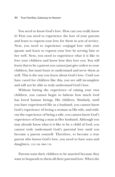You need to know God's love. How can you really know it? First you need to experience the love of your parents and learn to express your love for them in acts of service. Next, you need to experience conjugal love with your spouse and learn to express your love by serving him or her well. Next, you need to experience what it is like to love your children and know how they love you. You will learn that to be a parent you cannot just give orders to your children, but must learn to understand and serve them as well. This is the way you learn about God's love. Until you have cared for children like this, you are still incomplete and will not be able to truly understand God's love.

Without having the experience of raising your own children, you cannot begin to fathom how much God has loved human beings, His children. Similarly, until you have experienced life as a husband, you cannot know God's experience of loving a woman as His wife, and without the experience of being a wife, you cannot know God's experience of loving a man as Her husband. Although you may already know what it is like to be a child of God, you cannot truly understand God's parental love until you become a parent yourself. Therefore, to become a true parent who knows God's love, you need to have sons and daughters. (133-138, 1984.7.10)

Parents want their children to be married because they want to bequeath to them all their parental love. When the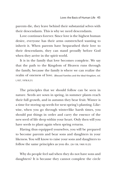parents die, they leave behind their substantial selves with their descendants. This is why we need descendants.

Love continues forever. Since love is the highest human desire, everyone has their arms outstretched wanting to inherit it. When parents have bequeathed their love to their descendants, they can stand proudly before God when they arrive in the spirit world.

It is in the family that love becomes complete. We say that the path to the Kingdom of Heaven runs through the family, because the family is where we can realize the realm of oneness of love. (Blessed Families and the Ideal Kingdom, vol. I, 937, 1978.9.21)

The principles that we should follow can be seen in nature. Seeds are sown in spring, in summer plants reach their full growth, and in autumn they bear fruit. Winter is a time for storing up seeds for next spring's planting. Likewise, when you go through winter-like harsh times, you should put things in order and carry the essence of the new seed of life deep within your heart. Only then will you have seeds to plant again when spring returns.

Having thus equipped yourselves, you will be prepared to become parents and bear sons and daughters in your likeness. You will know to raise your sons and daughters to follow the same principles as you do. (26-158, 1969.10.25)

Why do people feel sad when they do not have sons and daughters? It is because they cannot complete the circle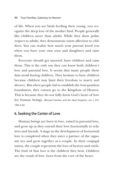of life. When you see birds feeding their young, you recognize the deep love of the mother bird. People generally like children more than adults. While they show polite respect to adults, they demonstrate warm affection to children. You can realize how much your parents loved you when you have your own sons and daughters and raise them.

Everyone should get married, have children and raise them. This is the only way they can know both children's love and parental love. It seems that many people these days avoid having children. They hesitate to have children because children may limit their freedom to marry and divorce. But when people fail to establish the four-position foundation, they cannot go to the Kingdom of Heaven. This is because they do not fully know God's heart of love for human beings. (Blessed Families and the Ideal Kingdom, vol. I, 937, 1982.4.26)

### **6. Seeking the Center of Love**

Human beings are born in love, raised in parental love, and grow up as they extend their love horizontally to relatives and friends. A stage in the development of horizontal love is completed when they meet a partner of the opposite sex and grow together as a couple. In their conjugal union, the couple represents the love of heaven and earth. The fruit of that love is the children they bear. Children are the result of love, born from the core of the heart.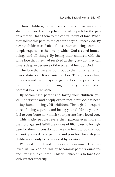Those children, born from a man and woman who share love based on deep heart, create a path for the parents that will take them to the central point of love. When they follow this path to the center, they will meet God. By having children as fruits of love, human beings come to deeply experience the love by which God created human beings and all things. By loving their children with the same love that they had received as they grew up, they can have a deep experience of the parental heart of God.

The love that parents pour out to their children is not materialistic love. It is an intrinsic love. Though everything in heaven and earth may change, the love that parents give their children will never change. In every time and place parental love is the same.

By becoming a parent and loving your children, you will understand and deeply experience how God has been loving human beings, His children. Through the experience of being a parent and loving your children, you will feel to your bone how much your parents have loved you.

This is why people revere their parents even more in their old age and fulfill the duties of filial piety to lovingly care for them. If you do not have the heart to do this, you are not qualified to be parents, and your love towards your children can only be considered hypocritical.

We need to feel and understand how much God has loved us. We can do this by becoming parents ourselves and loving our children. This will enable us to love God with greater sincerity.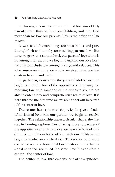In this way, it is natural that we should love our elderly parents more than we love our children, and love God more than we love our parents. This is the order and law of love.

As was stated, human beings are born in love and grow through their childhood years receiving parental love. But once we grow to a certain level, our parents' love alone is not enough for us, and we begin to expand our love horizontally to include love among siblings and relatives. This is because as we mature, we want to receive all the love that exists in heaven and earth.

In particular, as we enter the years of adolescence, we begin to crave the love of the opposite sex. By giving and receiving love with someone of the opposite sex, we are able to enter a new and comprehensive realm of love. It is here that for the first time we are able to set out in search of the center of love.

The cosmos has a spherical shape. By the give-and-take of horizontal love with our partner, we begin to revolve together. The relationship traces a circular shape, the first step in forming a sphere. Next, having chosen a partner of the opposite sex and shared love, we bear the fruit of children. By the give-and-take of love with our children, we begin to revolve on a vertical axis. This vertical love when combined with the horizontal love creates a three- dimensional spherical realm. At the same time it establishes a center – the center of love.

The center of love that emerges out of this spherical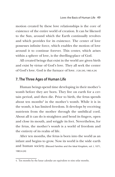motion created by these love relationships is the core of existence of the entire world of creation. It can be likened to the Sun, around which the Earth continually revolves and which provides for its existence. The center of love possesses infinite force, which enables the motion of love around it to continue forever. This center, which arises within a sphere of love, is the dwelling-place of God.

All created beings that exist in the world are given birth and exist by virtue of God's love. They all seek the center of God's love. God is the furnace of love. (126-245, 1983.4.24)

## **7. The Three Ages of Human Life**

Human beings spend time developing in their mother's womb before they are born. They live on earth for a certain period, and then die. Prior to birth, the fetus spends about ten months<sup>4</sup> in the mother's womb. While it is in the womb, it has limited freedom. It develops by receiving nutrients from the mother through the umbilical cord. About all it can do is straighten and bend its fingers, open and close its mouth, and wriggle its feet. Nevertheless, for the fetus, the mother's womb is a world of freedom and the entirety of its realm of life.

After ten months, the fetus is born into the world as an infant and begins to grow. Now its world is the wide earth and human society. (Blessed Families and the Ideal Kingdom, vol. I, 1071, 1983.4.24)

<sup>4.</sup> Ten months by the lunar calendar are equivalent to nine solar months.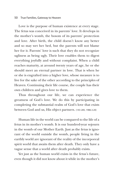#### 50 True Families, Gateway to Heaven

Love is the purpose of human existence at every stage. The fetus was conceived in its parents' love. It develops in the mother's womb, the bosom of its parents' protection and love. After birth, the child doesn't know any better and so may wet her bed, but the parents will not blame her for it. Parents' love is such that they do not recognize ugliness as being ugly. Their love enables them to digest everything joyfully and without complaint. When a child reaches maturity, at around twenty years of age, he or she should meet an eternal partner in love. That is when he or she is engrafted into a higher love, whose measure is to live for the sake of the other according to the principles of Heaven. Continuing their life course, the couple has their own children and gives love to them.

Thus throughout our life, we can experience the greatness of God's love. We do this by participating in completing the substantial realm of God's love that exists between God and us, His object partners. (143-285, 1986.3.20)

Human life in the world can be compared to the life of a fetus in its mother's womb. It is our hundred-year sojourn in the womb of our Mother Earth. Just as the fetus is ignorant of the world outside the womb, people living in the earthly world are ignorant of the reality of the incorporeal spirit world that awaits them after death. They only have a vague sense that a world after death probably exists.

Yet just as the human world exists in the fetus's future, even though it did not know about it while in the mother's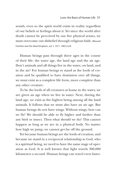womb, even so the spirit world exists in reality regardless of our beliefs or feelings about it. Yet since the world after death cannot be perceived by our five physical senses, we must overcome our disbelief through religious faith. (Blessed Families and the Ideal Kingdom, vol. I, 1071, 1983.4.24)

Human beings pass through three ages in the course of their life: the water age, the land age and the air age. Don't animals and all things live in the water, on land, and in the air? For human beings to stand as the lords of creation and be qualified to have dominion over all things, we must exist as a complete life form, more complete than any other creature.

To be the lords of all creatures at home in the water, we are given an age when we live in water. Next, during the land age, we exist as the highest being among all the land animals. It follows that we must also have an air age. But human beings do not have wings. Without wings, how can we fly? We should be able to fly higher and farther than any bird or insect. Then what should we do? This cannot happen as long as we are in a physical body. No matter how high we jump, we cannot get far off the ground.

Yet because human beings are the lords of creation, and because we stand in a reciprocal relationship to God, who is a spiritual being, we need to have the same stage of operation as God. It is well known that light travels 300,000 kilometers a second. Human beings can travel even faster.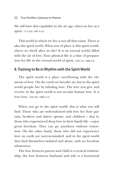We will have this capability in the air age, when we live as a spirit. (112-202, 1981.4.12)

This world in which we live is not all that exists. There is also the spirit world. What sort of place is this spirit world, where we dwell after we die? It is an eternal world, filled with the air of love. Your physical life is a time of preparation for life in the eternal world of spirit. (140-121, 1986.2.9)

#### **8. Training to Be in Rhythm with the Spirit World**

The spirit world is a place overflowing with the elements of love. On the earth we breathe air, but in the spirit world people live by inhaling love. The love you give and receive in the spirit world is not secular human love. It is true love. (145-267, 1986.5.15)

When you go to the spirit world, this is what you will find. Those who are well-endowed with love for their parents, brothers and sisters, spouse, and children – that is, those who experienced deep love in their family life – enjoy great freedom. They can go anywhere without restriction. On the other hand, those who did not experience love on earth are narrow-minded, and in the spirit world they find themselves isolated and alone, with no freedom whatsoever.

The love between parent and child is a vertical relationship, the love between husband and wife is a horizontal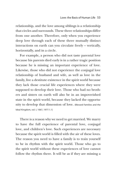relationship, and the love among siblings is a relationship that circles and surrounds. These three relationships differ from one another. Therefore, only when you experience deep love through each of these three mutually distinct interactions on earth can you circulate freely – vertically, horizontally, and in a circle.

For example, a person who did not taste parental love because his parents died early is in a rather tragic position because he is missing an important experience of love. Likewise, those who did not experience the conjugal love relationship of husband and wife, as well as love in the family, live a destitute existence in the spirit world because they lack those crucial life experiences where they were supposed to develop their love. Those who had no brothers and sisters on earth will also be in an impoverished state in the spirit world, because they lacked the opportunity to develop that dimension of love. (Blessed Families and the Ideal Kingdom, vol. I, 1067, 1977.1.1)

There is a reason why we need to get married. We marry to have the full experience of parental love, conjugal love, and children's love. Such experiences are necessary because the spirit world is filled with the air of these loves. The reason you need to have a family is to train yourself to be in rhythm with the spirit world. Those who go to the spirit world without these experiences of love cannot follow the rhythm there. It will be as if they are missing a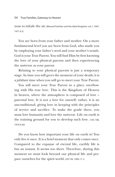nose to inhale the air. (Blessed Families and the Ideal Kingdom, vol. I, 1067, 1977.4.3)

You are born from your father and mother. On a more fundamental level you are born from God, who made you by employing your father's seed and your mother's womb. God is your True Parent. You will find Him by first knowing the love of your physical parents and then experiencing the universe as your parent.

Relating to your physical parents is just a temporary stage. In time you will greet the moment of your death; it is a jubilant time when you will go to meet your True Parent.

You will meet your True Parent in a place overflowing with His true love. This is the Kingdom of Heaven in heaven, where the atmosphere is composed of love – parental love. It is not a love for oneself; rather, it is an unconditional, giving love in keeping with the principles of service and sacrifice. To make the grade there, you must love humanity and love the universe. Life on earth is the training ground for you to develop such love. (105-108, 1979.9.30)

Do you know how important your life on earth is? You only live it once. It is a brief moment that only comes once. Compared to the expanse of eternal life, earthly life is but an instant. It seems too short. Therefore, during this moment we must look beyond our physical life and prepare ourselves for the spirit world. (207-99, 1990.11.1)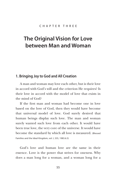# **The Original Vision for Love between Man and Woman**

#### **1. Bringing Joy to God and All Creation**

A man and woman may love each other, but is their love in accord with God's will and the criterion He requires? Is their love in accord with the model of love that exists in the mind of God?

If the first man and woman had become one in love based on the love of God, then they would have become that universal model of love. God surely desired that human beings display such love. The man and woman surely wanted such love from each other. It would have been true love, the very core of the universe. It would have become the standard by which all love is measured. (Blessed Families and the Ideal Kingdom, vol. I, 335, 1983.6.5)

God's love and human love are the same in their essence. Love is the power that strives for oneness. Why does a man long for a woman, and a woman long for a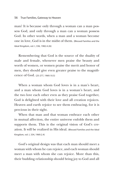man? It is because only through a woman can a man possess God, and only through a man can a woman possess God. In other words, when a man and a woman become one in love, God is in the midst of them. (Blessed Families and the Ideal Kingdom, vol. I, 336, 1982.4.26)

Remembering that God is the source of the duality of male and female, whenever men praise the beauty and worth of women, or women praise the merit and honor of men, they should give even greater praise to the magnificence of God. (25-277, 1969.10.5)

When a woman whom God loves is in a man's heart, and a man whom God loves is in a woman's heart, and the two love each other even as they praise God together, God is delighted with their love and all creation rejoices. Heaven and earth rejoice to see them embracing, for it is precious in their sight.

When that man and that woman embrace each other in mutual affection, the entire universe enfolds them and supports them. This is the original vision of God's creation. It will be realized in His ideal. (Blessed Families and the Ideal Kingdom, vol. I, 334, 1969.2.4)

God's original design was that each man should meet a woman with whom he can rejoice, and each woman should meet a man with whom she can rejoice. More than this, their budding relationship should bring joy to God and all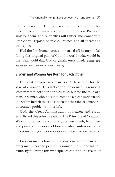things of creation. Then, all creation will be mobilized for this couple and want to receive their dominion. Birds will sing for them, and butterflies will flutter and dance with joy. God will rejoice, people will rejoice, and all of creation will rejoice.

Had the first human ancestors started off history by fulfilling this original plan of God, the world today would be the ideal world that God originally envisioned. (Blessed Families and the Ideal Kingdom, vol. I, 336, 1969.2.4)

## **2. Men and Women Are Born for Each Other**

For what purpose is a man born? He is born for the sake of a woman. This fact cannot be denied. Likewise, a woman is not born for her own sake, but for the sake of a man. A woman who does not come to a clear understanding within herself that she is born for the sake of a man will encounter problems in her life.

God, the Great Administrator of heaven and earth, established this principle within His Principle of Creation. We cannot enter the world of goodness, truth, happiness and peace, or the world of love and ideal, unless we follow this principle. (Blessed Families and the Ideal Kingdom, vol. I, 338, 1975.1.16)

Every woman is born to one day join with a man, and every man is born to join with a woman. This is the highest truth. By following this principle we can find the realm of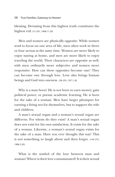blessing. Deviating from this highest truth constitutes the highest evil. (21-201, 1968.11.20)

Men and women are physically opposite. While women tend to focus on one area of life, men often work in three or four arenas at the same time. Women are more likely to enjoy staying at home, and men are more likely to enjoy traveling the world. Their characters are opposite as well, with men ordinarily more subjective and women more responsive. How can these opposites become one? They can become one through love. Love also brings human beings and God into oneness. (38-255, 1971.1.8)

Why is a man born? He is not born to earn money, gain political power, or pursue academic learning. He is born for the sake of a woman. Men have larger physiques for earning a living not for themselves, but to support the wife and children.

A man's sexual organ and a woman's sexual organ are different. For whom do they exist? A man's sexual organ does not exist for his own satisfaction. It exists for the sake of a woman. Likewise, a woman's sexual organ exists for the sake of a man. Have you ever thought this way? This is not something to laugh about and then forget. (143-275, 1986.3.20)

What is the symbol of the love between man and woman? Where is their love consummated? It is their sexual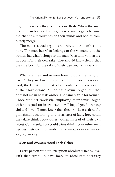organs, by which they become one flesh. When the man and woman love each other, their sexual organs become the channels through which their minds and bodies completely merge.

The man's sexual organ is not his, and woman's is not hers. The man has what belongs to the woman, and the woman has what belongs to the man. Men and women are not born for their own sake. They should know clearly that they are born for the sake of their partner. (132-146, 1984.5.31)

What are men and women born to do while living on earth? They are born to love each other. For this reason, God, the Great King of Wisdom, switched the ownership of their love organs. A man has a sexual organ, but that does not mean he is its owner. The same is true for woman. Those who act carelessly, employing their sexual organ with no regard for its ownership, will be judged for having violated love. If men knew that they will face a dreadful punishment according to this strictest of laws, how could they dare think about other women instead of their own wives? Conversely, how could wives think about other men besides their own husbands? (Blessed Families and the Ideal Kingdom, vol. I, 340, 1986.3.14)

### **3. Men and Women Need Each Other**

Every person without exception absolutely needs love. Isn't that right? To have love, an absolutely necessary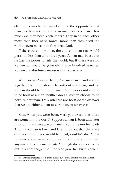element is another human being of the opposite sex. A man needs a woman and a woman needs a man. How much do they need each other? They need each other more than they need Korea, more than they need the world – even more than they need God.

If there were no women, the entire human race would perish in less than a hundred years. A man may boast that he has the power to rule the world, but if there were no women, all would be gone within one hundred years. So women are absolutely necessary. (25-180, 1969.10.4)

When we say "human beings" we mean men and women together. 5 No man should be without a woman, and no woman should be without a man. A man does not choose to be born as a man; neither does a woman choose to be born as a woman. Only after we are born do we discover that we are either a man or a woman. (67-267, 1973.7.22)

Men, when you were born, were you aware that there are women in the world? Suppose a man is born and later finds out that there are only men; would he not feel bad? And if a woman is born and later finds out that there are only women, she too would feel bad, wouldn't she? Yet at the time a woman is born, does she or does she not have any awareness that men exist? Although she was born without this knowledge, the One who gave her birth knew it.

<sup>5.</sup> The Chinese character for "human being" (人) is made with two brush strokes, one longer and one shorter, like a man and woman leaning on each other.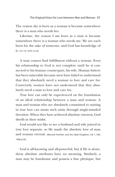The reason she is born as a woman is because somewhere there is a man who needs her.

Likewise, the reason I am born as a man is because somewhere there is a woman who needs me. We are each born for the sake of someone, and God has knowledge of it. (37-19, 1970.12.22)

A man cannot find fulfillment without a woman. Even his relationship to God is not complete until he is connected to his human counterpart, his wife. Human history has been miserable because men have failed to understand that they absolutely need a woman to love and care for. Conversely, women have not understood that they absolutely need a man to love and care for.

True love can only be experienced on the foundation of an ideal relationship between a man and woman. A man and woman who are absolutely committed to uniting in true love can attain such unity through single-minded devotion. When they have achieved absolute oneness, God dwells in their midst.

God would not like to see a husband and wife joined in true love separate, so He made the absolute love of man and woman eternal. (Blessed Families and the Ideal Kingdom, vol. I, 340, 1986.8.20)

God is all-knowing and all-powerful, but if He is alone, these absolute attributes have no meaning. Similarly, a man may be handsome and possess a fine physique, but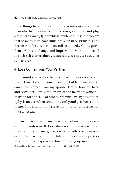these things have no meaning if he is without a woman. A man who lives fascinated by his own good looks and physique leads an ugly, worthless existence. It is a problem that so many men have sunk into such narcissism; it is one reason why history has been full of tragedy. God's providence works to change and improve the world immersed in such self-centeredness. (Blessed Families and the Ideal Kingdom, vol. I, 341, 1986.8.20)

### **4. Love Comes from Your Partner**

I cannot realize love by myself. Where does love come from? Love does not come from me, but from my spouse. Since love comes from my spouse, I must bow my head and serve her. This is the origin of the heavenly principle of living for the sake of others. We must live by this philosophy. It means, when someone worthy and precious comes to me, I must honor and serve her in order to receive her. (143-277, 1986.3.30)

I may have love in my heart, but when I am alone it cannot manifest itself. Love does not appear when a man is alone. It only emerges when he is with a woman who can be his partner in love. Only when you have a partner to love will you experience love springing up in your life. (Blessed Families and the Ideal Kingdom, vol. I, 342, 1982.10.29)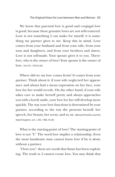We know that parental love is good and conjugal love is good, because these genuine loves are not self-centered. Love is not something I can make for myself; it is something my partner gives to me. Keep this in mind. Love comes from your husband and from your wife, from your sons and daughters, and from your brothers and sisters. Love is not self-made. Your spouse gives it to you. Therefore, who is the owner of love? Your spouse is the owner of love. (34-331, 1970.9.20)

Where did we say love comes from? It comes from your partner. Think about it: if your wife neglected her appearance and always had a mean expression on her face, your love for her would recede. On the other hand, if your wife takes care to make herself pretty and always approaches you with a lovely smile, your love for her will develop more quickly. The way your love functions is determined by your partner, according to the way she presents herself: her speech, her beauty, her scent, and so on. (Blessed Families and the Ideal Kingdom, vol. I, 343, 1982.10.29)

What is the starting-point of love? The starting-point of love is not "I." The word love implies a relationship. Even the most handsome man cannot know love if he is alone without a partner.

"I love you": these are words that Satan has been exploiting. The truth is, I cannot create love. You may think that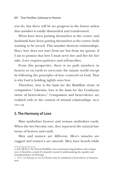you do, but there will be no progress in the future unless that mindset is totally dismantled and transformed.

Wives have been putting themselves at the center, and husbands have been putting themselves at the center, both wanting to be served. This mindset destroys relationships. Since love does not start from me but from my spouse, if I am to possess that love I must serve her and live for her sake. Love requires patience and self-sacrifice.

From this perspective, there is no path anywhere in heaven or on earth to overcome the satanic world except by following the principles of love centered on God. That is why God is holding tightly onto love.

Therefore, love is the basis for the Buddhist virtue of compassion. 6 Likewise, love is the basis for the Confucian virtue of benevolence. 7 Compassion and benevolence are realized only in the context of mutual relationships. (46-35, 1971.7.18)

#### **5. The Harmony of Love**

Man symbolizes heaven and woman symbolizes earth. When the two become one, they represent the natural harmony of heaven and earth.

Men and women are different. Men's muscles are rugged and women's are smooth. Men have beards while

<sup>6.</sup> *Jabi* (慈悲) is the Korean Buddhist term meaning loving-kindness and compassion. It describes a mind of sympathy rooted in understanding the equality and interdependence of all beings.

<sup>7.</sup> *In* (仁) in Korean or *ren* in Chinese may be translated as benevolence or humaneness.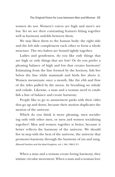women do not. Women's voices are high and men's are low. Yet we see their contrasting features fitting together well as harmony unfolds between them.

We may liken them to the human body: the right side and the left side complement each other to form a whole structure. The two halves are bound tightly together.

Ladies and gentlemen, do you like only things that are high or only things that are low? Or do you prefer a pleasing balance of high and low that creates harmony? Estimating from the line formed by the horizon, fish live below the line while mammals and birds live above it. Women menstruate once a month, like the ebb and flow of the tides pulled by the moon. In breathing we inhale and exhale. Likewise, a man and a woman need to establish a line of balance and create harmony.

People like to go to amusement parks with their rides that go up and down, because their motion duplicates the motion of the universe.

Which do you think is more pleasing, men socializing only with other men, or men and women socializing together? Men and women together is better, because it better reflects the harmony of the universe. We should live in step with the beat of the universe, the universe that promotes harmony through the harmony of yin and yang. (Blessed Families and the Ideal Kingdom, vol. I, 344, 1984.5.31)

When a man and a woman create loving harmony, they initiate circular movement. When a man and a woman love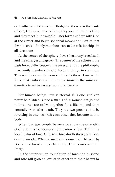each other and become one flesh, and then bear the fruits of love, God descends to them, they ascend towards Him, and they meet in the middle. They form a sphere with God at the center and begin spherical movement. Out of that divine center, family members can make relationships in all directions.

At the center of the sphere, love's harmony is realized, and life emerges and grows. The center of the sphere is the basis for equality between the sexes and for the philosophy that family members should hold all things in common. This is so because the power of love is there. Love is the force that embraces all the interactions in the universe. (Blessed Families and the Ideal Kingdom, vol. I, 345, 1982.4.26)

For human beings, love is eternal. It is one, and can never be divided. Once a man and a woman are joined in love, they are to live together for a lifetime and then eternally even after death. They are two persons, but by revolving in oneness with each other they become as one body.

When the two people become one, they revolve with God to form a four-position foundation of love. This is the ideal realm of love. Only true love dwells there; false love cannot invade. When a man and woman are blessed by God and achieve this perfect unity, God comes to them freely.

In the four-position foundation of love, the husband and wife will grow to love each other with their hearts by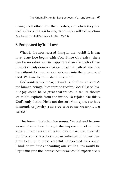loving each other with their bodies, and when they love each other with their hearts, their bodies will follow. (Blessed Families and the Ideal Kingdom, vol. I, 346, 1984.1.1)

#### **6. Enraptured by True Love**

What is the most sacred thing in the world? It is true love. True love begins with God. Since God exists, there can be no other way to happiness than the path of true love. God truly desires that we travel the path of true love, for without doing so we cannot come into the presence of God. We have to understand this point.

God wants to see, hear, eat and touch through love. As for human beings, if we were to receive God's kiss of love, our joy would be so great that we would feel as though we might explode from the inside. To rejoice like this is God's only desire. He is not the sort who rejoices to have diamonds or jewelry. (Blessed Families and the Ideal Kingdom, vol. I, 381, 1986.8.20)

The human body has five senses. We feel and become aware of true love through the impressions of our five senses. If our eyes are directed toward true love, they take on the color of true love and are intoxicated by true love. How beautifully those colorful, intoxicated eyes shine! Think about how enchanting our smiling lips would be. Try to imagine the intense beauty we would experience as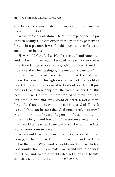our five senses, intoxicated in true love, moved in harmony toward God.

Yet when God is all alone, He cannot experience the joy of such beauty. God can experience joy only by perceiving beauty in a partner. It was for this purpose that God created human beings.

How would God feel as He observed a handsome man and a beautiful woman absorbed in each other's eyes intoxicated in true love, kissing with lips intoxicated in true love, their hearts singing the melody of true love?

If Eve had possessed such true love, God would have wanted to journey through every corner of her world of heart. He would have desired to find out for Himself just how wide and how deep was the world of heart of this beautiful Eve. God would have wanted to dwell throughout both Adam's and Eve's world of heart, a world more beautiful than the heaven and earth that God Himself created. You can be sure that God much prefers to travel within the world of heart of a person of true love than to travel the length and breadth of the universe. Adam's and Eve's world of heart and true love was to be such that God would never want to leave.

What would have happened if, after God created human beings, He had plunged into their true love and lost Himself in that love? What kind of world would we have today? God would dwell in our midst. We would live in oneness with God, and create a world filled with joy and beauty. (Blessed Families and the Ideal Kingdom, vol. I, 382, 1986.8.20)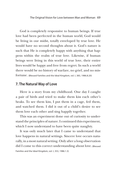God is completely responsive to human beings. If true love had been perfected in the human world, God would be living in our midst, totally enveloped by true love. He would have no second thoughts about it. God's nature is such that He is completely happy with anything that happens within the realm of true love. Likewise, if human beings were living in this world of true love, their entire lives would be happy and free from regret. In such a world there would be no history of warfare, no grief, and no misfortune. (Blessed Families and the Ideal Kingdom, vol. I, 383, 1986.8.20)

#### **7. The Natural Way of Love**

Here is a story from my childhood. One day I caught a pair of birds and tried to make them kiss each other's beaks. To see them kiss, I put them in a cage, fed them, and watched them. I did it out of a child's desire to see them love each other and sing happily together.

This was an experiment done out of curiosity to understand the principles of nature. I continued this experiment, which I now understand to have been quite naughty.

It was only much later that I came to understand that love happens in natural settings. Sincere love occurs naturally, in a most natural setting. Only after a long observation did I come to this correct understanding about love. (Blessed Families and the Ideal Kingdom, vol. I, 353, 1986.1.3)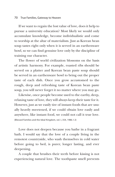#### 70 True Families, Gateway to Heaven

If we want to regain the lost value of love, does it help to pursue a university education? Most likely we would only accumulate knowledge, become individualistic and come to worship at the altar of materialism. Just as Korean bean soup tastes right only when it is served in an earthenware bowl, so we can find genuine love only by the discipline of training our character.

The flower of world civilization blossoms on the basis of artistic harmony. For example, roasted ribs should be served on a platter and Korean bean paste soup should be served in an earthenware bowl to bring out the proper taste of each dish. Once you grow accustomed to the rough, deep and refreshing taste of Korean bean paste soup, you will never forget it no matter where you may go.

Likewise, once people become used to the earthy, deep, relaxing taste of love, they will always keep their taste for it. However, just as we easily tire of instant foods that are usually heavily sweetened, if we could obtain love easily and anywhere, like instant food, we could not call it true love. (Blessed Families and the Ideal Kingdom, vol. I, 354, 1986.1.3)

Love does not deepen because you bathe in a fragrant bath. I would say that the love of a couple living in the remotest countryside, who wash themselves in cold water before going to bed, is purer, longer lasting, and ever deepening.

A couple that brushes their teeth before kissing is not experiencing natural love. The toothpaste smell prevents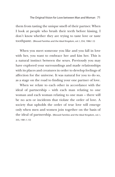them from tasting the unique smell of their partner. When I look at people who brush their teeth before kissing, I don't know whether they are trying to taste love or taste toothpaste. (Blessed Families and the Ideal Kingdom, vol. I, 354, 1986.1.3)

When you meet someone you like and you fall in love with her, you want to embrace her and kiss her. This is a natural instinct between the sexes. Previously you may have explored your surroundings and made relationships with its places and creatures in order to develop feelings of affection for the universe. It was natural for you to do so, as a stage on the road to finding your one partner of love.

When we relate to each other in accordance with the ideal of partnership – with each man relating to one woman and each woman relating to one man – there will be no acts or incidents that violate the order of love. A society that upholds the order of true love will emerge only when men and women join together on the basis of the ideal of partnership. (Blessed Families and the Ideal Kingdom, vol. I, 355, 1981.1.13)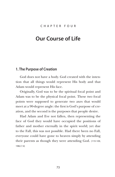#### C h a p t e r F o u r

## **Our Course of Life**

#### **1. The Purpose of Creation**

God does not have a body. God created with the intention that all things would represent His body and that Adam would represent His face.

Originally, God was to be the spiritual focal point and Adam was to be the physical focal point. These two focal points were supposed to generate two axes that would meet at a 90-degree angle: the first is God's purpose of creation, and the second is the purposes that people desire.

Had Adam and Eve not fallen, then representing the face of God they would have occupied the positions of father and mother eternally in the spirit world; yet due to the Fall, this was not possible. Had there been no Fall, everyone could have gone to heaven simply by attending their parents as though they were attending God. (119-109, 1982.7.4)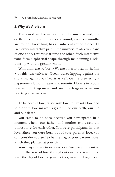#### **2. Why We Are Born**

The world we live in is round: the sun is round, the earth is round and the stars are round; even our mouths are round. Everything has an inherent round aspect. In fact, every interactive pair in the universe relates by means of one entity revolving around the other. Such interactive pairs form a spherical shape through maintaining a relationship with the greater whole.

Why, then, are we born? We are born to beat in rhythm with this vast universe. Ocean waves lapping against the shore lap against our hearts as well. Gentle breezes sighing serenely lull our hearts into serenity. Flowers in bloom release rich fragrances and stir the fragrances in our hearts. (104-122, 1979.4.22)

To be born in love, raised with love, to live with love and to die with love makes us grateful for our birth, our life and our death.

You came to be born because you participated in a moment when your father and mother expressed the utmost love for each other. You were participants in that love. Since you were born out of your parents' love, you can consider yourself to be the flag of your parents' love, which they planted at your birth.

Your flag flutters to express love. We are all meant to live for the sake of love throughout our lives. You should wave the flag of love for your mother, wave the flag of love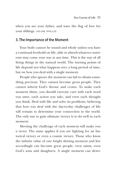when you see your father, and wave the flag of love for your siblings. (103-258, 1979.2.25)

## **3. The Importance of the Moment**

Your body cannot be sound and whole unless you have a continual foothold on life, able to absorb whatever nutrients may come your way at any time. This is the way of all living things in the natural world. The turning points of life depend not what happens over a long period of time, but on how you deal with a single moment.

People who ignore the moment can fail to obtain something precious. They cannot become great people. They cannot inherit God's throne and crown. To make each moment shine, you should exercise care with each word you utter, each action you take, and even each thought you think. Deal with life and solve its problems, believing that how you deal with the day-to-day challenges of life will remain to determine your connection to the world. The only way to gain ultimate victory is to do well in each moment.

Meeting the challenge of each moment will make you a victor. The same applies if you are fighting for an historical victory or even a cosmic victory. Those who know the infinite value of one bright shining moment and live accordingly can become great people, even saints, even God's sons and daughters. A single moment can deter-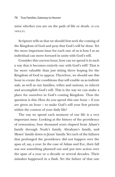#### 76 True Families, Gateway to Heaven

mine whether you are on the path of life or death. (31-218, 1970.5.31)

Scripture tells us that we should first seek the coming of the Kingdom of God and pray that God's will be done. Yet the more important issue for each one of us is how I as an individual can move forward in unity with God's will.

Consider this current hour; how can we spend it in such a way that it becomes entirely one with God's will? That is far more valuable than just sitting there hoping for the Kingdom of God to appear. Therefore, we should use this hour to create the conditions that will enable us as individuals, as well as our families, tribes and nations, to inherit and accomplish God's will. This is the way we can make a place for ourselves in God's coming Kingdom. Thus the question is this: How do you spend this one hour – if you are given an hour – to make God's will your first priority within the context of your daily life?

The way we spend each moment of our life is a very important issue. Looking at the history of the providence of restoration, four thousand years elapsed from Adam's family through Noah's family, Abraham's family, and Moses' family down to Jesus' family. Yet each of the failures that prolonged the providence did not happen over the span of, say, a year. In the case of Adam and Eve, their fall was not something planned out and put into action over the span of a year or a decade or several decades. Their mistakes happened in a flash. Yet the failure of that one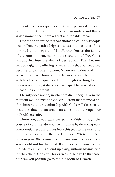moment had consequences that have persisted through eons of time. Considering this, we can understand that a single moment can have a great and terrible impact.

Due to the failure of that one moment, countless people who walked the path of righteousness in the course of history had to undergo untold suffering. Due to the failure of that one moment, many nations could not follow God's will and fell into the abyss of destruction. They became part of a gigantic offering of indemnity that was required because of that one moment. When we understand this, we see that each hour we just let tick by can be fraught with terrible consequences. Even though the Kingdom of Heaven is eternal, it does not exist apart from what we do in each single moment.

Eternity does not begin when we die. It begins from the moment we understand God's will. From that moment on, if we interrupt our relationship with God's will for even an instant in time, it can create an abyss that interrupts our walk with eternity.

Therefore, as you walk the path of faith through the course of your life, do not procrastinate by deferring your providential responsibilities from this year to the next, and then to the year after that, or from your 20s to your 30s, or from your 30s to your 40s, or from your 40s to your 50s. You should not live like that. If you persist in your secular lifestyle, you just might end up dying without having lived for the sake of God's will for even a single day. In that case, how can you possibly go to the Kingdom of Heaven?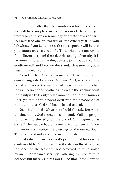#### 78 True Families, Gateway to Heaven

It doesn't matter that the country you live in is blessed; you will have no place in the Kingdom of Heaven if you were unable to live even one day by a victorious standard. You may face one crucial day or one crucial year in your life when, if you fail the test, the consequence will be that you cannot enter eternal life. Thus, while it is not wrong for believers to spend their days dreaming of eternity, it is far more important that they actually join in God's work to eradicate evil and become the standard-bearers of goodness in the real world.

Consider that Adam's momentary lapse resulted in eons of anguish. Consider Cain and Abel, who were supposed to dissolve the anguish of their parents, demolish the wall between the brothers and create the starting point for family unity. It only took a moment for Cain to murder Abel, yet that brief incident destroyed the providence of restoration that Abel had been elected to lead.

Noah had toiled 120 years to build the ark. But when the time came, God issued the command, "Call the people to come into the ark, for the day of My judgment has come." The people had only one brief moment to follow this order and receive the blessings of the eternal God. Those who did not were drowned in the deluge.

In Abraham's case too, God's promise that his descendants would be "as numerous as the stars in the sky and as the sands on the seashore" was bestowed in just a single moment. Abraham's sacrificial offering did not require decades but merely a day's work. The time it took him to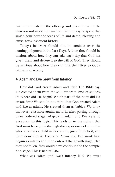cut the animals for the offering and place them on the altar was not more than an hour. Yet the way he spent that single hour bore the seeds of life and death, blessing and curse, for subsequent history.

Today's believers should not be anxious over the coming judgment in the Last Days. Rather, they should be anxious about how they can take each day that God has given them and devote it to the will of God. They should be anxious about how they can link their lives to God's will. (37-217, 1970.12.27)

## **4. Adam and Eve Grew from Infancy**

How did God create Adam and Eve? The Bible says He created them from the soil, but what kind of soil was it? Where did He begin? Which part of the body did He create first? We should not think that God created Adam and Eve as adults. He created them as babies. We know that every existence attains maturity after passing through three ordered stages of growth. Adam and Eve were no exception to this logic. This leads us to the notion that God must have gone through the experience of a mother who conceives a child in her womb, gives birth to it, and then nourishes it. Logically, Adam and Eve must have begun as infants and then entered the growth stage. Had they not fallen, they would have continued to the completion stage. This is natural law.

What was Adam and Eve's infancy like? We must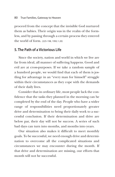proceed from the concept that the invisible God nurtured them as babies. Their origin was in the realm of the formless, and by passing through a certain process they entered the world of form. (225-198, 1992.1.20)

## **5. The Path of a Victorious Life**

Since the society, nation and world in which we live are far from ideal, all manner of suffering happens. Good and evil are at cross-purposes. If we take a random sample of a hundred people, we would find that each of them is jostling for advantage in an "every man for himself" struggle within their circumstances as they cope with the demands of their daily lives.

Consider that in ordinary life, most people lack the confidence that the tasks they planned in the morning can be completed by the end of the day. People who have a wider range of responsibilities need proportionately greater drive and determination to bring their daily work to a successful conclusion. If their determination and drive are below par, their day will not be success. A series of such bad days can turn into months, and months into years.

Our situation also makes it difficult to meet monthly goals. To be successful, we need enough drive and determination to overcome all the complicated situations and circumstances we may encounter during the month. If that drive and determination are missing, our efforts that month will not be successful.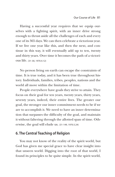Having a successful year requires that we equip ourselves with a fighting spirit, with an inner drive strong enough to thrust aside all the challenges of each and every one of its 365 days. We can then celebrate a victorious year. If we live one year like this, and then the next, and continue in this way, it will eventually add up to ten, twenty and thirty years. Over time it becomes the path of a victorious life. (31-30, 1970.4.12)

No person living on earth can escape the constraints of time. It is true today, and it has been true throughout history. Individuals, families, tribes, peoples, nations and the world all move within the limitation of time.

People everywhere have goals they strive to attain. They focus on their goal for ten years, twenty years, thirty years, seventy years, indeed, their entire lives. The greater our goal, the stronger our inner commitment needs to be if we are to accomplish it. We need to have an inner determination that surpasses the difficulty of the goal, and maintain it without faltering through the allotted span of time. Otherwise, the goal will elude us. (31-149, 1970.5.24)

# **6. The Central Teaching of Religion**

You may not know of the reality of the spirit world, but God has given me special grace to have clear insight into that unseen world. Digging into the root of that world, I found its principles to be quite simple. In the spirit world,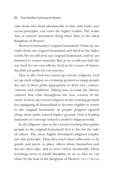only those who lived altruistically, in line with God's universal principles, can enter the higher realms. The realm that is entirely structured along these lines is the ideal Kingdom of Heaven.

Heaven is humanity's original homeland. Today we are exiles from our original homeland and dwell in the fallen world. Yet we still seek our original homeland, and we are destined to return someday. But as we could not find the way back by our own efforts, God in the course of history has laid out paths for our journey.

That is why God has raised up various religions. God set up each religion as a training ground to equip people for one of these paths appropriate to their race, culture, customs and traditions. Taking into account the diverse cultures that exist throughout the four corners of the earth, God set up various religions as the training grounds for equipping all humankind to become eligible to return to the original homeland. As people progress upward along these paths toward higher ground, God is leading humanity to converge toward a unified religious world.

In all religions, what is the central teaching that guides people to the original homeland? It is to live for the sake of others. The more highly developed religions emphasize this principle. Thus they teach their adherents to be gentle and meek, to place others above themselves and live for their sake, and to serve others sacrificially. These teachings serve to instill discipline in us, so that we can abide by the laws of the Kingdom of Heaven. (78-117, 1975.5.6)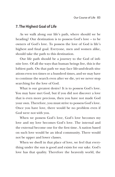## **7. The Highest Goal of Life**

As we walk along our life's path, where should we be heading? Our destination is to possess God's love – to be owners of God's love. To possess the love of God is life's highest and final goal. Everyone, men and women alike, should take the path to this destination.

Our life path should be a journey to the God of infinite love. Of all the ways that human beings live, this is the loftiest path. On that path we may face life-and-death situations even ten times or a hundred times, and we may have to continue the search even after we die, yet we never stop searching for the love of God.

What is our greatest desire? It is to possess God's love. You may have met God, but if you did not discover a love that is even more precious, then you have not made God your own. Therefore, you must strive to possess God's love. Once you have love, there would be no problem even if God were not with you.

When we possess God's love, God's love becomes my love and my love becomes God's love. The internal and the external become one for the first time. A nation based on such love would be an ideal community. There would not be upper and lower classes.

When we dwell in that place of love, we feel that everything under the sun is good and exists for our sake. God's love has that quality. Therefore the heavenly world, the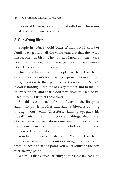Kingdom of Heaven, is a world filled with love. This is our final destination. (39-210, 1971.1.10)

## **8. Our Wrong Birth**

People in today's world boast of their social status or family background, all the while unaware that they were misbegotten at birth. They do not know that they were born from the love, life and lineage of Satan, the enemy of God. This is a serious problem.

Due to the human Fall, all people have been born from Satan's love. Satan's love has been passed down through the generations to their parents and then to them. Satan's blood is flowing in the life of every mother and in the life of every father, and that blood now flows in each of us. Each of us is a fruit of these three.

For this reason, each of you belongs to the linage of Satan. To put it another way, Satan's blood is running through your veins. Therefore, Satan propagates his "ideal" fruit in the natural course of things. Meanwhile, God strives to redeem those same men and women and transform them into the pure and wholesome men and women of His original vision.

Your beginning was in Satan's love. You were born from his lineage. Your starting-point was wrong. Since you came from the wrong starting-point, you must return to the correct starting-point.

Where is that correct starting-point? How far back do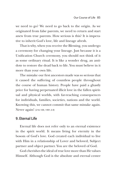we need to go? We need to go back to the origin. As we originated from false parents, we need to return and start anew from true parents. How serious is this? It is imperative to inherit God's love, life and lineage afresh.

That is why, when you receive the Blessing, you undergo a ceremony for changing your lineage. Just because it is a Unification Church ceremony, you should not think of it as some ordinary ritual. It is like a wonder drug, an antidote to restore the dead back to life. You must believe in it more than your own life.

The mistake our first ancestors made was so serious that it caused the suffering of countless people throughout the course of human history. People have paid a ghastly price for having perpetuated illicit love in the fallen spiritual and physical worlds, with far-reaching consequences for individuals, families, societies, nations and the world. Knowing this, we cannot commit that same mistake again. Never again! (216-109, 1991.3.9)

## **9. Eternal Life**

Eternal life does not refer only to an eternal existence in the spirit world. It means living for eternity in the bosom of God's love. God created each individual to live with Him in a relationship of Lover and beloved, Subject partner and object partner. You are the beloved of God.

God cherishes the ideal of true love more than He values Himself. Although God is the absolute and eternal center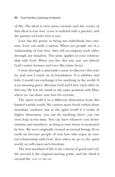of life, His ideal is even more eternal, and the center of that ideal is true love. Love is realized with a partner, and the partner of God's love is you.

Love has the power to bring two individuals into oneness. Love can unify a nation. When two people are in a relationship of true love, they will accompany each other through any situation. The same applies to your relationship with God. When you live this way, you can inherit God's entire fortune and even His entire heart.

I went through a miserable course to discover this reality, and now I stand on its foundation. It is sublime and lofty. I would not exchange it for anything in the world. It is an amazing grace. Because God and I love each other in this way, He lets me stand in the same position with Him, where we can share true love for eternity.

The spirit world is in a different dimension from this limited earthly world. We cannot move freely within these mundane confines, but as the spirit world is a realm of higher dimension, you can do anything there; you can even leap across time. You can have whatever you desire anytime and anywhere, so long as your desire is motivated by love. We were originally created as eternal beings. If on earth we become people of true love who enjoy an eternal relationship with God, then when we go to the spirit world, we will enjoy such freedom.

The first standard of life is the criteria of good and evil, the second is the original starting point, and the third is eternal life. (216-115, 1991.3.9)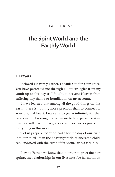### C H A P T E R 5 :

# **The Spirit World and the Earthly World**

### **1. Prayers**

"Beloved Heavenly Father, I thank You for Your grace. You have protected me through all my struggles from my youth up to this day, as I fought to prevent Heaven from suffering any shame or humiliation on my account.

"I have learned that among all the good things on this earth, there is nothing more precious than to connect to Your original heart. Enable us to yearn infinitely for that relationship, knowing that when we truly experience Your love, we will have no regrets even if we are deprived of everything in this world.

"Let us prepare today on earth for the day of our birth into our third life in the heavenly world as liberated children, endowed with the right of freedom." (49-308, 1971.10.17)

"Loving Father, we know that in order to greet the new spring, the relationships in our lives must be harmonious,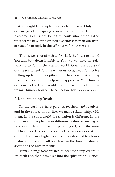that we might be completely absorbed in You. Only then can we greet the spring season and bloom as beautiful blossoms. Let us not be pitiful souls who, when asked whether we have ever greeted a spring season in our lives, are unable to reply in the affirmative." (32-37, 1970.6.14)

"Father, we recognize that if we lack the heart to attend You and bow down humbly to You, we will have no relationship to You in the eternal world. Open the doors of our hearts to feel Your heart; let us today hear Your voice welling up from the depths of our hearts so that we may regain our lost selves. Help us to appreciate Your historical course of toil and trouble to find each one of us, that we may humbly bow our heads before You." (4-280, 1958.9.14)

## **2. Understanding Death**

On the earth we have parents, teachers and relatives, and in the course of our lives we make relationships with them. In the spirit world the situation is different. In the spirit world, people are in different realms according to how much they live for the public good, with the most public-minded people closest to God who resides at the center. Those in a higher realm cannot descend to a lower realm, and it is difficult for those in the lower realms to ascend to the higher realms.

Human beings were created to become complete while on earth and then pass over into the spirit world. Hence,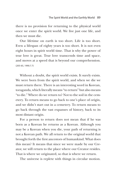there is no provision for returning to the physical world once we enter the spirit world. We live just one life, and then we must die.

Our lifetime on earth is too short. Life is too short. Even a lifespan of eighty years is too short. It is not even eight hours in spirit world time. That is why the power of true love is great. True love transcends time and space, and moves at a speed that is beyond our comprehension. (205-65, 1990.7.7)

Without a doubt, the spirit world exists. It surely exists. We were born from the spirit world, and when we die we must return there. There is an interesting word in Korean, toraganda, which literally means "to return" but also means "to die." Where do we return to? Not to the soil in the cemetery. To return means to go back to one's place of origin, and we didn't start out in a cemetery. To return means to go back through the vast expanses of history, back to its most distant origin.

For a person to return does not mean that if he was born as a Korean he returns as a Korean. Although you may be a Korean when you die, your path of returning is not a Korean path. We all return to the original world that brought forth the first ancestors of humankind. What does this mean? It means that since we were made by our Creator, we will return to the place where our Creator resides. That is where we originated, so that is where we return.

The universe is replete with things in circular motion.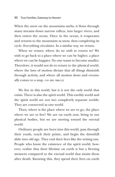When the snow on the mountains melts, it flows through many streams down narrow valleys, into larger rivers, and then enters the ocean. Once in the ocean, it evaporates and returns to the mountains as snow, thus completing its cycle. Everything circulates. In a similar way, we return.

When we return, where do we wish to return to? We wish to go back to a place where we can be higher, a place where we can be happier. No one wants to become smaller. Therefore, it would not do to return to the physical world, where the laws of motion dictate that all things diminish through activity, and where all motion slows and eventually comes to a stop. (141-269, 1986.3.2)

We live in this world, but it is not the only world that exists. There is also the spirit world. This earthly world and the spirit world are not two completely separate worlds. They are connected as one world.

Then, where is the place where we are to go, the place where we are to live? We are on earth now, living in our physical bodies, but we are moving toward the eternal world.

Ordinary people are born into this world, pass through their youth, reach their prime, and begin the downhill slide into old age. They end their lives like the setting sun. People who know the existence of the spirit world, however, realize that their lifetime on earth is but a fleeting moment compared to the eternal world that awaits them after death. Knowing this, they spend their lives on earth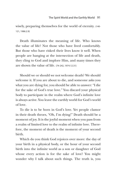wisely, preparing themselves for the world of eternity. (140- 121, 1986.2.9)

Death illuminates the meaning of life. Who knows the value of life? Not those who have lived comfortably. But those who have risked their lives know it well. When people are hanging at the intersection of life and death, they cling to God and implore Him, and many times they are shown the value of life. (74-242, 1974.12.31)

Should we or should we not welcome death? We should welcome it. If you are about to die, and someone asks you what you are dying for, you should be able to answer: "I die for the sake of God's true love." You discard your physical body to participate in the realm where God's infinite love is always active. You leave the earthly world for God's world of love.

To die is to be born in God's love. Yet people clamor in their death throes, "Oh, I'm dying!" Death should be a moment of joy. It is the joyful moment when you pass from a realm of limited love to the realm of infinite love. Therefore, the moment of death is the moment of your second birth.

Which do you think God rejoices over more: the day of your birth in a physical body, or the hour of your second birth into the infinite world as a son or daughter of God whose every action is for the sake of love? You might wonder why I talk about such things. The truth is, you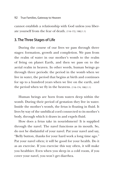cannot establish a relationship with God unless you liberate yourself from the fear of death. (116-172, 1982.1.1)

## **3. The Three Stages of Life**

During the course of our lives we pass through three stages: formation, growth and completion. We pass from the realm of water in our mother's womb to the realm of living on planet Earth, and then we pass on to the aerial realm in heaven. In other words, human beings go through three periods: the period in the womb when we live in water, the period that begins at birth and continues for up to a hundred years when we live on the earth, and the period when we fly in the heavens. (116-174, 1982.1.1)

Human beings are born from waters deep within the womb. During their period of gestation they live in water. Inside the mother's womb, the fetus is floating in fluid. It lives by way of the umbilical cord connected to its mother's body, through which it draws in and expels fluid.

How does a fetus take in nourishment? It is supplied through the navel. The navel functions as its mouth. So, do not be disdainful of your navel. Pat your navel and say, "Belly button, thanks for your hard work a long time ago." Pat your navel often; it will be good for your health. Do it as an exercise. If you exercise this way often, it will make you healthier. Even when you sleep in a cold room, if you cover your navel, you won't get diarrhea.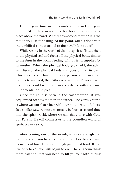During your time in the womb, your navel was your mouth. At birth, a new orifice for breathing opens at a place above the navel. What is this second mouth? It is the mouth you use for eating. At this point, what is done with the umbilical cord attached to the navel? It is cut off.

While we live in the world of air, our spirit self is attached to the physical self and feeds off the physical body, similar to the fetus in the womb feeding off nutrients supplied by its mother. When the physical body grows old, the spirit self discards the physical body and goes out on its own. This is its second birth, now as a person who can relate to the eternal God, the Father who is spirit. Physical birth and this second birth occur in accordance with the same fundamental principles.

Once the child is born in the earthly world, it gets acquainted with its mother and father. The earthly world is where we can share love with our mothers and fathers. In a similar way, we must eventually be born a second time into the spirit world, where we can share love with God, our Parent. He will connect us to the boundless world of spirit. (299-69, 1999.2.4)

After coming out of the womb, it is not enough just to breathe air. You have to develop your love by receiving elements of love. It is not enough just to eat food. If you live only to eat, you will begin to die. There is something more essential that you need to fill yourself with during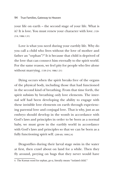your life on earth – the second stage of your life. What is it? It is love. You must renew your character with love. (139- 214, 1986.1.31)

Love is what you need during your earthly life. Why do you call a child who lives without the love of mother and father an "orphan"?8 It is because that child is deprived of the love that can connect him eternally to the spirit world. For the same reason, we feel pity for people who live alone without marrying. (139-214, 1986.1.31)

Dying occurs when the spirit breaks free of the organs of the physical body, including those that had functioned in the second kind of breathing. From that time forth, the spirit subsists by breathing only love elements. The internal self had been developing the ability to engage with these invisible love elements on earth through experiencing parental love and conjugal love. That is why, just as an embryo should develop in the womb in accordance with God's laws and principles in order to be born as a normal baby, we must grow in the earthly world in accordance with God's laws and principles so that we can be born as a fully functioning spirit self. (299-69, 1999.2.4)

Dragonflies during their larval stage swim in the water at first, then crawl about on land for a while. Then they fly around, preying on bugs that they never would have

<sup>8.</sup> The Korean word for orphan, *go-a,* literally means "isolated child."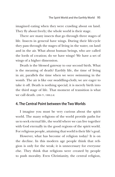imagined eating when they were crawling about on land. They fly about freely; the whole world is their stage.

There are many insects that go through three stages of life. Insects in general have wings. During their life-cycle they pass through the stages of living in the water, on land and in the air. What about human beings, who are called the lords of creation; do we have wings? We have a set of wings of a higher dimension.

Death is the blessed gateway to our second birth. What is the meaning of death? Earthly life, the time of living in air, parallels the time when we were swimming in the womb. The air is like our swaddling-cloth; we are eager to take it off. Death is nothing special; it is merely birth into the third stage of life. That moment of transition is what we call death. (299-71, 1999.2.4)

## **4. The Central Point between the Two Worlds**

I imagine you must be very curious about the spirit world. The many religions of the world provide paths for us to seek eternal life, the world where we can live together with God eternally in the good regions of the spirit world. For religious people, attaining that world is their life's goal.

However, what has become of religion today? It is on the decline. In this modern age people think that religion is only for the weak; it is unnecessary for everyone else. They think that religions were created by people to push morality. Even Christianity, the central religion,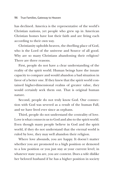has declined. America is the representative of the world's Christian nations, yet people who grew up in American Christian homes have lost their faith and are living each according to their own way.

Christianity upholds heaven, the dwelling place of God, who is the Lord of the universe and Source of all good. Why are so many Christians abandoning their religion? There are three reasons.

First, people do not have a clear understanding of the reality of the spirit world. Human beings have the innate capacity to compare and would abandon a bad situation in favor of a better one. If they knew that the spirit world contained higher-dimensional realms of greater value, they would certainly seek them out. That is original human nature.

Second, people do not truly know God. Our connection with God was severed as a result of the human Fall, and we have lived ever since as orphans.

Third, people do not understand the centrality of love. Love is what connects us to God and also to the spirit world. Even though many people believe in God and the spirit world, if they do not understand that the eternal world is ruled by love, they may well abandon their religion.

Where love abounds, you are happy. It doesn't matter whether you are promoted to a high position or demoted to a low position or you just stay at your current level; in whatever state you are, you are content. Does a wife dislike her beloved husband if he has a higher position in society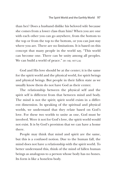than her? Does a husband dislike his beloved wife because she comes from a lower class than him? When you are one with each other you can go anywhere, from the bottom to the top or from the top to the bottom, or you can just stay where you are. There are no limitations. It is based on this concept that many people in the world say, "This world can become one. There can be unity among all peoples. We can build a world of peace." (91-140, 1977.2.6)

God and His love should be at the center; it is the same for the spirit world and the physical world, for spirit beings and physical beings. But people in their fallen state as we usually know them do not have God as their center.

The relationship between the physical self and the spirit self is different from that between mind and body. The mind is not the spirit; spirit world exists in a different dimension. In speaking of the spiritual and physical worlds, we understand that they relate based on God's love. For these two worlds to unite as one, God must be involved. Were it not for God's love, the spirit world would not exist. It is by God's provision that we can have a home there.

People may think that mind and spirit are the same, but this is a confused notion. Due to the human fall, the mind does not have a relationship with the spirit world. To better understand this, think of the mind of fallen human beings as analogous to a person whose body has no bones. Its form is like a boneless body.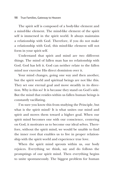The spirit self is composed of a body-like element and a mind-like element. The mind-like element of the spirit self is immersed in the spirit world. It always maintains a relationship with God. Therefore, if you do not make a relationship with God, this mind-like element will not form in your spirit self.

Understand that spirit and mind are two different things. The mind of fallen man has no relationship with God. God has left it. God can neither relate to the fallen mind nor exercise His direct dominion over it.

Your mind changes, going one way and then another, but the spirit world and spiritual beings are not like this. They set one eternal goal and move steadily in its direction. Why is this so? It is because they stand on God's side. But the mind that resides within us fallen human beings is constantly vacillating.

I'm sure you know this from studying the Principle, but what is the spirit mind? It is what unites our mind and spirit and moves them toward a higher goal. When our spirit mind becomes one with our conscience, centering on God, it motivates us to become our ideal selves. Therefore, without the spirit mind, we would be unable to find the inner root that enables us to live in proper relationship with the spirit world and experience true love.

When the spirit mind sprouts within us, our body rejoices. Everything we think, say and do follows the promptings of our spirit mind. Then everything begins to unite spontaneously. The biggest problem for human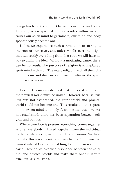beings has been the conflict between our mind and body. However, when spiritual energy resides within us and causes our spirit mind to germinate, our mind and body spontaneously become one.

Unless we experience such a revolution occurring at the root of our selves, and unless we discover the origin that can rectify everything from that root, we will have no way to attain the ideal. Without a motivating cause, there can be no result. The purpose of religion is to implant a spirit mind within us. The many religions with all their different forms and doctrines all exist to cultivate the spirit mind. (91-142, 1977.2.6)

God in His majesty decreed that the spirit world and the physical world must be united. However, because true love was not established, the spirit world and physical world could not become one. This resulted in the separation between mind and body. Also, because true love was not established, there has been separation between religion and politics.

Where true love is present, everything comes together as one. Everybody is linked together, from the individual to the family, society, nation, world and cosmos. We have to make this a reality with our own hands. Otherwise, we cannot inherit God's original Kingdom in heaven and on earth. How do we establish resonance between the spiritual and physical worlds and make them one? It is with true love. (216-106, 1991.3.9)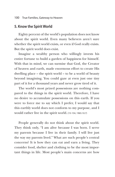### **5. Know the Spirit World**

Eighty percent of the world's population does not know about the spirit world. Even many believers aren't sure whether the spirit world exists, or even if God really exists. But the spirit world does exist.

Imagine a wealthy person who willingly invests his entire fortune to build a garden of happiness for himself. With that in mind, we can surmise that God, the Creator of heaven and earth, made enormous effort to create His dwelling place – the spirit world – to be a world of beauty beyond imagining. You could gaze at even just one tiny part of it for a thousand years and never grow tired of it.

The world's most prized possessions are nothing compared to the things in the spirit world. Therefore, I have no desire to accumulate possessions on this earth. If you were to force me to say which I prefer, I would say that this earthly world does not conform to my purpose, and I would rather live in the spirit world. (15-154, 1965.10.7)

People generally do not think about the spirit world. They think only, "I am alive because I was born. I serve my parents because I live in their family. I will live just the way my parents lived." What are such people's central concerns? It is how they can eat and earn a living. They consider food, shelter and clothing to be the most important things in life. Most people's main concerns are how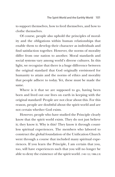to support themselves, how to feed themselves, and how to clothe themselves.

Of course, people also uphold the principles of morality and the obligations within human relationships that enable them to develop their character as individuals and find satisfaction together. However, the norms of morality differ from one nation to another. Moral standards and social systems vary among world's diverse cultures. In this light, we recognize that there is a huge difference between the original standard that God originally envisioned for humanity to attain and the norms of ethics and morality that people adhere to today. Yet, these must be made the same.

Where is it that we are supposed to go, having been born and lived out our lives on earth in keeping with the original standard? People are not clear about this. For this reason, people are doubtful about the spirit world and are not certain whether God exists.

However, people who have studied the Principle clearly know that the spirit world exists. They do not just believe it; they know it. Why is this? They know it through countless spiritual experiences. The members who labored to construct the global foundation of the Unification Church went through a course that included many spiritual experiences. If you learn the Principle, I am certain that you, too, will have experiences such that you will no longer be able to deny the existence of the spirit world. (140-122, 1986.2.9)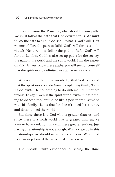Once we know the Principle, what should be our path? We must follow the path that God desires for us. We must follow the path to fulfill God's will. What is God's will? First we must follow the path to fulfill God's will for us as individuals. Next we must follow the path to fulfill God's will for our families. God has also set up paths for the society, the nation, the world and the spirit world. I am the expert on this. As you follow these paths, you will see for yourself that the spirit world definitely exists. (121-146, 1982.10.24)

Why is it important to acknowledge that God exists and that the spirit world exists? Some people may think, "Even if God exists, He has nothing to do with me," but they are wrong. To say, "Even if the spirit world exists, it has nothing to do with me," would be like a person who, satisfied with his family, claims that he doesn't need his country and doesn't need the world.

But since there is a God who is greater than us, and since there is a spirit world that is greater than us, we want to have a relationship with these greater entities. Just having a relationship is not enough. What do we do in this relationship? We should strive to become one. We should move in step toward the same goal. (104-119, 1979.4.22)

The Apostle Paul's experience of seeing the third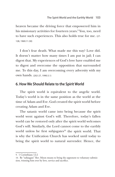heaven became the driving force that empowered him in his missionary activities for fourteen years. 9 You, too, need to have such experiences. This also holds true for me. (27- 128, 1969.11.30)

I don't fear death. What made me this way? Love did. It doesn't matter how many times I am put in jail; I can digest that. My experiences of God's love have enabled me to digest and overcome the opposition that surrounded me. To this day, I am overcoming every adversity with my own hands. (202-27, 1990.5.1)

### **6. How We Should Relate to the Spirit World**

The spirit world is equivalent to the angelic world. Today's world is in the same position as the world at the time of Adam and Eve. God created the spirit world before creating Adam and Eve.

The satanic world came into being because the spirit world went against God's will. Therefore, today's fallen world can be restored only after the spirit world welcomes God's will. Similarly, the Lord cannot come to the earthly world unless he first subjugates<sup>10</sup> the spirit world. That is why the Unification Church has worked until today to bring the spirit world to natural surrender. Hence, the

<sup>9. 1</sup> Corinthians 12:2

<sup>10.</sup> By "subjugate" Rev. Moon means to bring the opponent to voluntary submission, winning him over by love, service and sacrifice.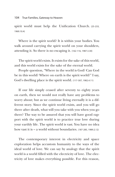104 True Families, Gateway to Heaven

spirit world must help the Unification Church. (25-233, 1969.10.4)

Where is the spirit world? It is within your bodies. You walk around carrying the spirit world on your shoulders, attending it. So there is no escaping it. (162-116, 1987.3.30)

The spirit world exists. It exists for the sake of this world, and this world exists for the sake of the eternal world.

People question, "Where in the world is God? Can God be in this world? Where on earth is the spirit world?" I say, God's dwelling place is the spirit world. (117-307, 1982.4.11)

If our life simply ceased after seventy to eighty years on earth, then we would not really have any problems to worry about; but as we continue living eternally it is a different story. Since the spirit world exists, and you will go there after death, what will you take with you when you go there? The way to be assured that you will have good rapport with the spirit world is to practice true love during your earthly life. The spirit world is vast. You have no idea how vast it is – a world without boundaries. (187-285, 1989.2.12)

The contemporary interest in electricity and space exploration helps accustom humanity to the ways of the ideal world of love. We can say by analogy that the spirit world is a world filled with the electricity of love. The electricity of love makes everything possible. For this reason,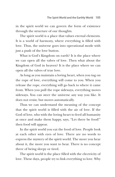in the spirit world we can govern the form of existence through the structure of our thoughts.

The spirit world is a place that values eternal elements. It is a world of harmony, where everything is filled with love. Thus, the universe goes into operational mode with just a push of the love button.

What is God's Kingdom on earth? It is the place where we can open all the valves of love. Then what about the Kingdom of God in heaven? It is the place where we can open all the valves of true love.

As long as you maintain a loving heart, when you tug on the rope of love, everything will come to you. When you release the rope, everything will go back to where it came from. When you pull the rope sideways, everything moves sideways. You can steer the universe any way you like. It does not resist, but moves automatically.

Thus we can understand the meaning of the concept that the spirit world is filled with the air of love. If the God of love, who with the loving heart to feed all humanity at once and make them happy, says, "Let there be food!" then food will appear.

In the spirit world you eat the food of love. People look at each other with eyes of love. There are no words to express the mystery of the spirit world. The more you hear about it, the more you want to hear. There is no concept there of being sleepy or tired.

The spirit world is the place filled with the electricity of love. These days, people try to link everything to love. Why